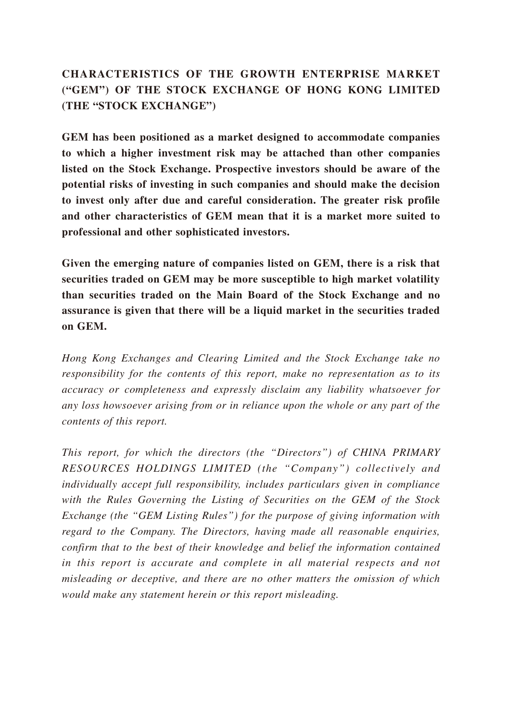# **CHARACTERISTICS OF THE GROWTH ENTERPRISE MARKET ("GEM") OF THE STOCK EXCHANGE OF HONG KONG LIMITED (THE "STOCK EXCHANGE")**

**GEM has been positioned as a market designed to accommodate companies to which a higher investment risk may be attached than other companies listed on the Stock Exchange. Prospective investors should be aware of the potential risks of investing in such companies and should make the decision to invest only after due and careful consideration. The greater risk profile and other characteristics of GEM mean that it is a market more suited to professional and other sophisticated investors.**

**Given the emerging nature of companies listed on GEM, there is a risk that securities traded on GEM may be more susceptible to high market volatility than securities traded on the Main Board of the Stock Exchange and no assurance is given that there will be a liquid market in the securities traded on GEM.**

*Hong Kong Exchanges and Clearing Limited and the Stock Exchange take no responsibility for the contents of this report, make no representation as to its accuracy or completeness and expressly disclaim any liability whatsoever for any loss howsoever arising from or in reliance upon the whole or any part of the contents of this report.*

*This report, for which the directors (the "Directors") of CHINA PRIMARY RESOURCES HOLDINGS LIMITED (the "Company") collectively and individually accept full responsibility, includes particulars given in compliance with the Rules Governing the Listing of Securities on the GEM of the Stock Exchange (the "GEM Listing Rules") for the purpose of giving information with regard to the Company. The Directors, having made all reasonable enquiries, confirm that to the best of their knowledge and belief the information contained*  in this report is accurate and complete in all material respects and not *misleading or deceptive, and there are no other matters the omission of which would make any statement herein or this report misleading.*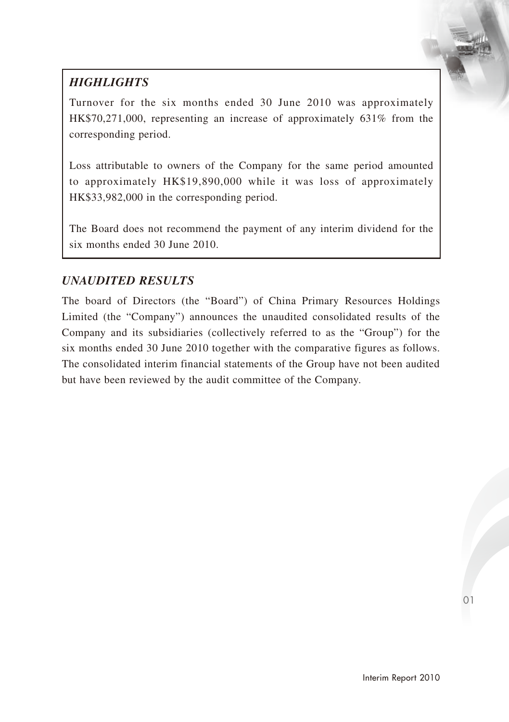# *HIGHLIGHTS*

Turnover for the six months ended 30 June 2010 was approximately HK\$70,271,000, representing an increase of approximately 631% from the corresponding period.

Loss attributable to owners of the Company for the same period amounted to approximately HK\$19,890,000 while it was loss of approximately HK\$33,982,000 in the corresponding period.

The Board does not recommend the payment of any interim dividend for the six months ended 30 June 2010.

# *UNAUDITED RESULTS*

The board of Directors (the "Board") of China Primary Resources Holdings Limited (the "Company") announces the unaudited consolidated results of the Company and its subsidiaries (collectively referred to as the "Group") for the six months ended 30 June 2010 together with the comparative figures as follows. The consolidated interim financial statements of the Group have not been audited but have been reviewed by the audit committee of the Company.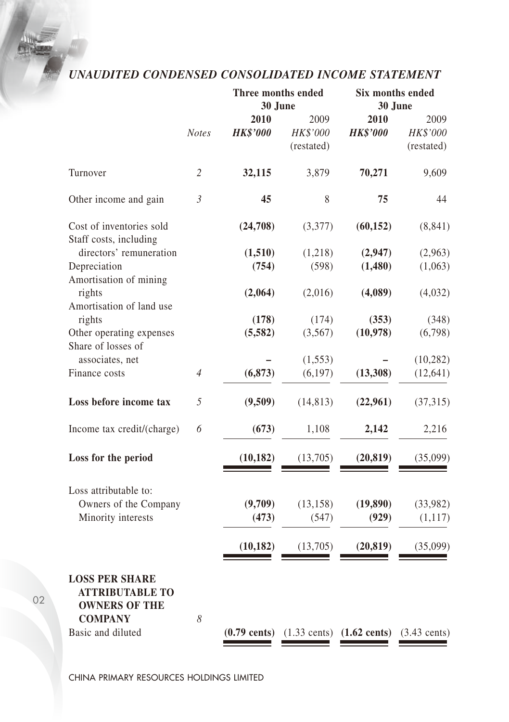# *UNAUDITED CONDENSED CONSOLIDATED INCOME STATEMENT*

|                                                                                                                |                | Three months ended<br>30 June | Six months ended<br>30 June    |                                                                      |                                |
|----------------------------------------------------------------------------------------------------------------|----------------|-------------------------------|--------------------------------|----------------------------------------------------------------------|--------------------------------|
|                                                                                                                | <b>Notes</b>   | 2010<br><b>HK\$'000</b>       | 2009<br>HK\$'000<br>(restated) | 2010<br><b>HK\$'000</b>                                              | 2009<br>HK\$'000<br>(restated) |
| Turnover                                                                                                       | $\overline{c}$ | 32,115                        | 3,879                          | 70,271                                                               | 9,609                          |
| Other income and gain                                                                                          | $\mathfrak{Z}$ | 45                            | 8                              | 75                                                                   | 44                             |
| Cost of inventories sold<br>Staff costs, including                                                             |                | (24,708)                      | (3,377)                        | (60, 152)                                                            | (8, 841)                       |
| directors' remuneration                                                                                        |                | (1,510)                       | (1,218)                        | (2,947)                                                              | (2,963)                        |
| Depreciation                                                                                                   |                | (754)                         | (598)                          | (1,480)                                                              | (1,063)                        |
| Amortisation of mining<br>rights<br>Amortisation of land use                                                   |                | (2,064)                       | (2,016)                        | (4,089)                                                              | (4,032)                        |
| rights                                                                                                         |                | (178)                         | (174)                          | (353)                                                                | (348)                          |
| Other operating expenses                                                                                       |                | (5,582)                       | (3,567)                        | (10, 978)                                                            | (6,798)                        |
| Share of losses of                                                                                             |                |                               |                                |                                                                      |                                |
| associates, net                                                                                                |                |                               | (1, 553)                       |                                                                      | (10, 282)                      |
| Finance costs                                                                                                  | $\overline{4}$ | (6, 873)                      | (6, 197)                       | (13, 308)                                                            | (12, 641)                      |
| Loss before income tax                                                                                         | 5              | (9,509)                       | (14, 813)                      | (22,961)                                                             | (37, 315)                      |
| Income tax credit/(charge)                                                                                     | 6              | (673)                         | 1,108                          | 2,142                                                                | 2,216                          |
| Loss for the period                                                                                            |                | (10, 182)                     | (13,705)                       | (20, 819)                                                            | (35,099)                       |
| Loss attributable to:                                                                                          |                |                               |                                |                                                                      |                                |
| Owners of the Company                                                                                          |                | (9,709)                       | (13, 158)                      | (19,890)                                                             | (33,982)                       |
| Minority interests                                                                                             |                | (473)                         | (547)                          | (929)                                                                | (1,117)                        |
|                                                                                                                |                | (10, 182)                     | (13,705)                       | (20, 819)                                                            | (35,099)                       |
| <b>LOSS PER SHARE</b><br><b>ATTRIBUTABLE TO</b><br><b>OWNERS OF THE</b><br><b>COMPANY</b><br>Basic and diluted | 8              | $(0.79$ cents)                |                                | $(1.33 \text{ cents})$ $(1.62 \text{ cents})$ $(3.43 \text{ cents})$ |                                |
|                                                                                                                |                |                               |                                |                                                                      |                                |

CHINA PRIMARY RESOURCES HOLDINGS LIMITED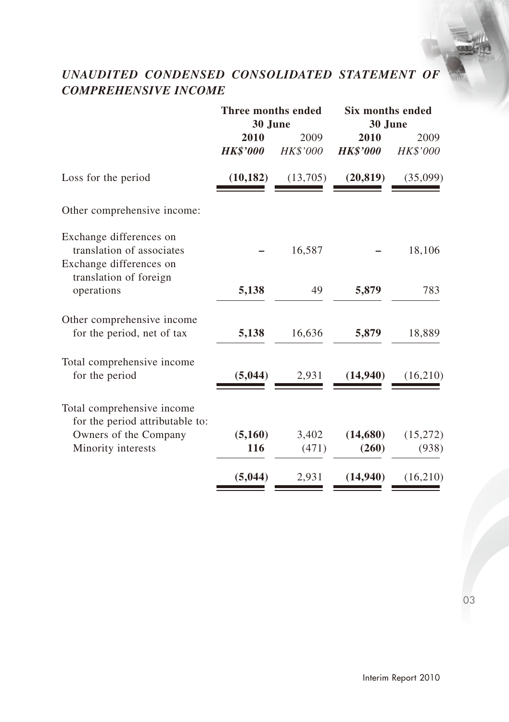# *UNAUDITED CONDENSED CONSOLIDATED STATEMENT OF COMPREHENSIVE INCOME*

|                                                                                                           | Three months ended<br>30 June |                  | Six months ended<br>30 June |                   |  |
|-----------------------------------------------------------------------------------------------------------|-------------------------------|------------------|-----------------------------|-------------------|--|
|                                                                                                           | 2010<br><b>HK\$'000</b>       | 2009<br>HK\$'000 | 2010<br><b>HK\$'000</b>     | 2009<br>HK\$'000  |  |
| Loss for the period                                                                                       | (10, 182)                     | (13,705)         | (20, 819)                   | (35,099)          |  |
| Other comprehensive income:                                                                               |                               |                  |                             |                   |  |
| Exchange differences on<br>translation of associates<br>Exchange differences on<br>translation of foreign |                               | 16,587           |                             | 18,106            |  |
| operations                                                                                                | 5,138                         | 49               | 5,879                       | 783               |  |
| Other comprehensive income<br>for the period, net of tax                                                  | 5,138                         | 16,636           | 5,879                       | 18,889            |  |
| Total comprehensive income<br>for the period                                                              | (5,044)                       | 2,931            | (14,940)                    | (16,210)          |  |
| Total comprehensive income<br>for the period attributable to:                                             |                               |                  |                             |                   |  |
| Owners of the Company<br>Minority interests                                                               | (5,160)<br>116                | 3,402<br>(471)   | (14,680)<br>(260)           | (15,272)<br>(938) |  |
|                                                                                                           | (5,044)                       | 2,931            | (14,940)                    | (16,210)          |  |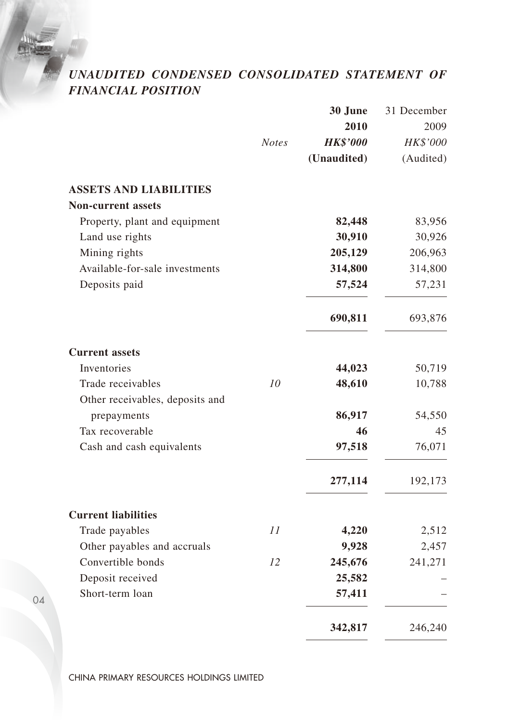# *UNAUDITED CONDENSED CONSOLIDATED STATEMENT OF FINANCIAL POSITION*

|                                 |              | 30 June         | 31 December |
|---------------------------------|--------------|-----------------|-------------|
|                                 |              | 2010            | 2009        |
|                                 | <b>Notes</b> | <b>HK\$'000</b> | HK\$'000    |
|                                 |              | (Unaudited)     | (Audited)   |
| <b>ASSETS AND LIABILITIES</b>   |              |                 |             |
| <b>Non-current assets</b>       |              |                 |             |
| Property, plant and equipment   |              | 82,448          | 83,956      |
| Land use rights                 |              | 30,910          | 30,926      |
| Mining rights                   |              | 205,129         | 206,963     |
| Available-for-sale investments  |              | 314,800         | 314,800     |
| Deposits paid                   |              | 57,524          | 57,231      |
|                                 |              | 690,811         | 693,876     |
| <b>Current assets</b>           |              |                 |             |
| Inventories                     |              | 44,023          | 50,719      |
| Trade receivables               | 10           | 48,610          | 10,788      |
| Other receivables, deposits and |              |                 |             |
| prepayments                     |              | 86,917          | 54,550      |
| Tax recoverable                 |              | 46              | 45          |
| Cash and cash equivalents       |              | 97,518          | 76,071      |
|                                 |              | 277,114         | 192,173     |
| <b>Current liabilities</b>      |              |                 |             |
| Trade payables                  | 11           | 4,220           | 2,512       |
| Other payables and accruals     |              | 9,928           | 2,457       |
| Convertible bonds               | 12           | 245,676         | 241,271     |
| Deposit received                |              | 25,582          |             |
| Short-term loan                 |              | 57,411          |             |
|                                 |              | 342,817         | 246,240     |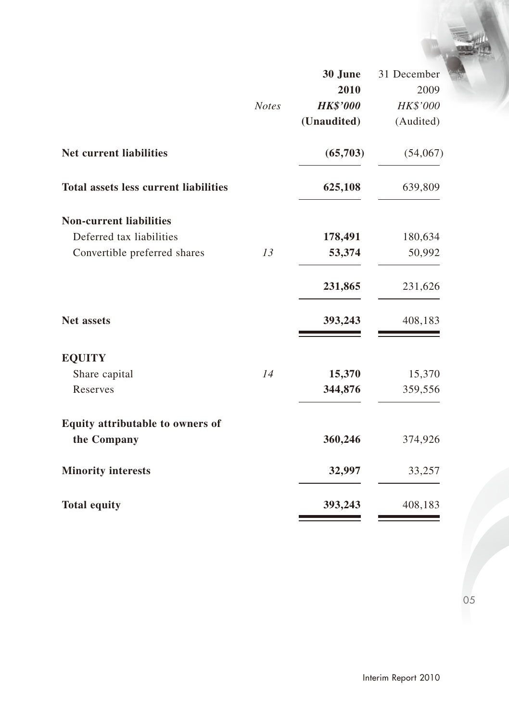|                                              |              | 30 June         | 31 December |
|----------------------------------------------|--------------|-----------------|-------------|
|                                              |              | 2010            | 2009        |
|                                              | <b>Notes</b> | <b>HK\$'000</b> | HK\$'000    |
|                                              |              | (Unaudited)     | (Audited)   |
| Net current liabilities                      |              | (65,703)        | (54,067)    |
| <b>Total assets less current liabilities</b> |              | 625,108         | 639,809     |
| <b>Non-current liabilities</b>               |              |                 |             |
| Deferred tax liabilities                     |              | 178,491         | 180,634     |
| Convertible preferred shares                 | 13           | 53,374          | 50,992      |
|                                              |              | 231,865         | 231,626     |
| <b>Net assets</b>                            |              | 393,243         | 408,183     |
| <b>EQUITY</b>                                |              |                 |             |
| Share capital                                | 14           | 15,370          | 15,370      |
| Reserves                                     |              | 344,876         | 359,556     |
| Equity attributable to owners of             |              |                 |             |
| the Company                                  |              | 360,246         | 374,926     |
| <b>Minority interests</b>                    |              | 32,997          | 33,257      |
| <b>Total equity</b>                          |              | 393,243         | 408,183     |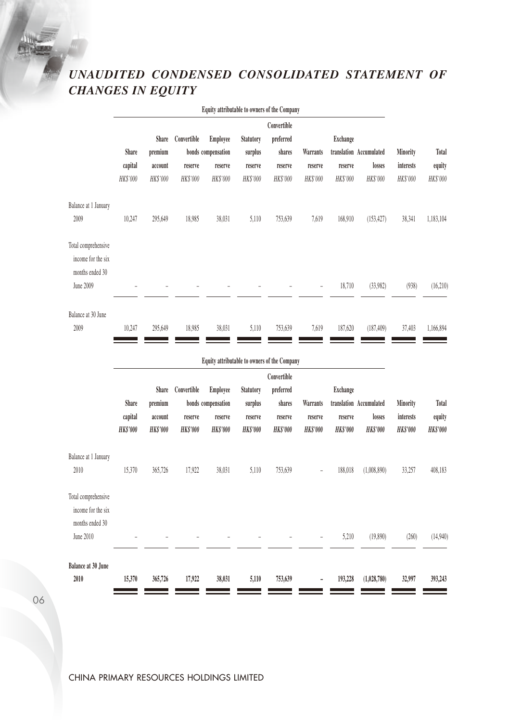# *UNAUDITED CONDENSED CONSOLIDATED STATEMENT OF CHANGES IN EQUITY*

|                              |                 |                 |                 | Equity attributable to owners of the Company |                 |                 |                 |                 |                         |                  |                 |
|------------------------------|-----------------|-----------------|-----------------|----------------------------------------------|-----------------|-----------------|-----------------|-----------------|-------------------------|------------------|-----------------|
|                              |                 |                 |                 |                                              |                 | Convertible     |                 |                 |                         |                  |                 |
|                              |                 | Share           | Convertible     | Employee                                     | Statutory       | preferred       |                 | <b>Exchange</b> |                         |                  |                 |
|                              | Share           | premium         |                 | bonds compensation                           | surplus         | shares          | Warrants        |                 | translation Accumulated | Minority         | Total           |
|                              | capital         | account         | reserve         | reserve                                      | reserve         | reserve         | reserve         | reserve         | losses                  | <b>interests</b> | equity          |
|                              | HK\$'000        | HK\$'000        | HK\$'000        | HK\$'000                                     | HK\$'000        | HK\$'000        | HK\$'000        | HK\$'000        | HK\$'000                | HK\$'000         | HK\$'000        |
| Balance at 1 January         |                 |                 |                 |                                              |                 |                 |                 |                 |                         |                  |                 |
| 2009                         | 10,247          | 295,649         | 18,985          | 38,031                                       | 5,110           | 753,639         | 7,619           | 168,910         | (153, 427)              | 38,341           | 1,183,104       |
|                              |                 |                 |                 |                                              |                 |                 |                 |                 |                         |                  |                 |
| Total comprehensive          |                 |                 |                 |                                              |                 |                 |                 |                 |                         |                  |                 |
| income for the six           |                 |                 |                 |                                              |                 |                 |                 |                 |                         |                  |                 |
| months ended 30<br>June 2009 |                 |                 |                 |                                              |                 |                 |                 |                 |                         |                  |                 |
|                              |                 |                 |                 |                                              |                 |                 |                 | 18,710          | (33,982)                | (938)            | (16.210)        |
| Balance at 30 June           |                 |                 |                 |                                              |                 |                 |                 |                 |                         |                  |                 |
| 2009                         | 10.247          | 295,649         | 18.985          | 38.031                                       | 5,110           | 753,639         | 7,619           | 187,620         | (187, 409)              | 37,403           | 1.166.894       |
|                              |                 |                 |                 |                                              |                 |                 |                 |                 |                         |                  |                 |
|                              |                 |                 |                 | Equity attributable to owners of the Company |                 |                 |                 |                 |                         |                  |                 |
|                              |                 |                 |                 |                                              |                 | Convertible     |                 |                 |                         |                  |                 |
|                              |                 | Share           | Convertible     | <b>Employee</b>                              | Statutory       | preferred       |                 | <b>Exchange</b> |                         |                  |                 |
|                              | Share           | premium         |                 | bonds compensation                           | surplus         | shares          | <b>Warrants</b> |                 | translation Accumulated | Minority         | Total           |
|                              | capital         | account         | reserve         | reserve                                      | reserve         | reserve         | reserve         | reserve         | losses                  | interests        | equity          |
|                              | <b>HK\$'000</b> | <b>HK\$'000</b> | <b>HK\$'000</b> | <b>HK\$'000</b>                              | <b>HK\$'000</b> | <b>HK\$'000</b> | <b>HK\$'000</b> | <b>HK\$'000</b> | <b>HK\$'000</b>         | <b>HK\$'000</b>  | <b>HK\$'000</b> |
| Balance at 1 January         |                 |                 |                 |                                              |                 |                 |                 |                 |                         |                  |                 |
| 2010                         | 15,370          | 365,726         | 17,922          | 38,031                                       | 5,110           | 753,639         |                 | 188,018         | (1,008,890)             | 33,257           | 408,183         |
|                              |                 |                 |                 |                                              |                 |                 |                 |                 |                         |                  |                 |
| Total comprehensive          |                 |                 |                 |                                              |                 |                 |                 |                 |                         |                  |                 |
| income for the six           |                 |                 |                 |                                              |                 |                 |                 |                 |                         |                  |                 |
| months ended 30              |                 |                 |                 |                                              |                 |                 |                 |                 |                         |                  |                 |
| June 2010                    |                 |                 |                 |                                              |                 |                 |                 |                 |                         |                  |                 |
|                              |                 |                 |                 |                                              |                 |                 |                 | 5,210           | (19, 890)               | (260)            | (14,940)        |
| Balance at 30 June           |                 |                 |                 |                                              |                 |                 |                 |                 |                         |                  |                 |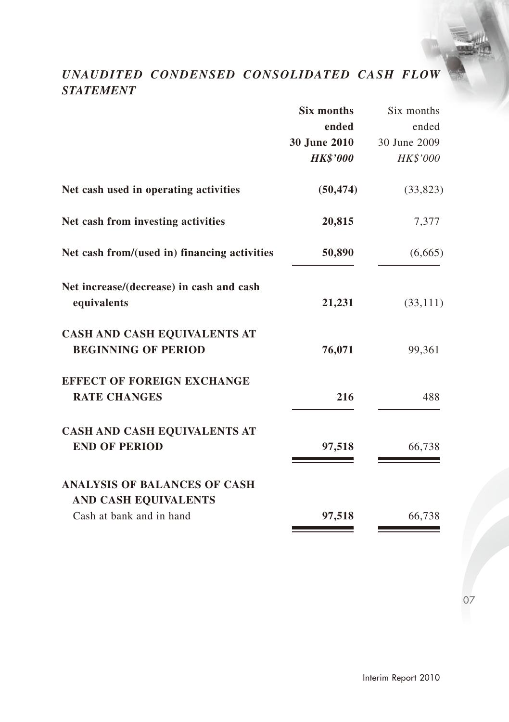# *UNAUDITED CONDENSED CONSOLIDATED CASH FLOW STATEMENT*

|                                                             | <b>Six months</b> | Six months   |
|-------------------------------------------------------------|-------------------|--------------|
|                                                             | ended             | ended        |
|                                                             | 30 June 2010      | 30 June 2009 |
|                                                             | <b>HK\$'000</b>   | HK\$'000     |
| Net cash used in operating activities                       | (50, 474)         | (33,823)     |
| Net cash from investing activities                          | 20,815            | 7,377        |
| Net cash from/(used in) financing activities                | 50,890            | (6,665)      |
| Net increase/(decrease) in cash and cash<br>equivalents     | 21,231            | (33,111)     |
| CASH AND CASH EQUIVALENTS AT<br><b>BEGINNING OF PERIOD</b>  | 76,071            | 99,361       |
| <b>EFFECT OF FOREIGN EXCHANGE</b><br><b>RATE CHANGES</b>    | 216               | 488          |
| <b>CASH AND CASH EQUIVALENTS AT</b><br><b>END OF PERIOD</b> | 97,518            | 66,738       |
| <b>ANALYSIS OF BALANCES OF CASH</b><br>AND CASH EQUIVALENTS |                   |              |
| Cash at bank and in hand                                    | 97,518            | 66,738       |
|                                                             |                   |              |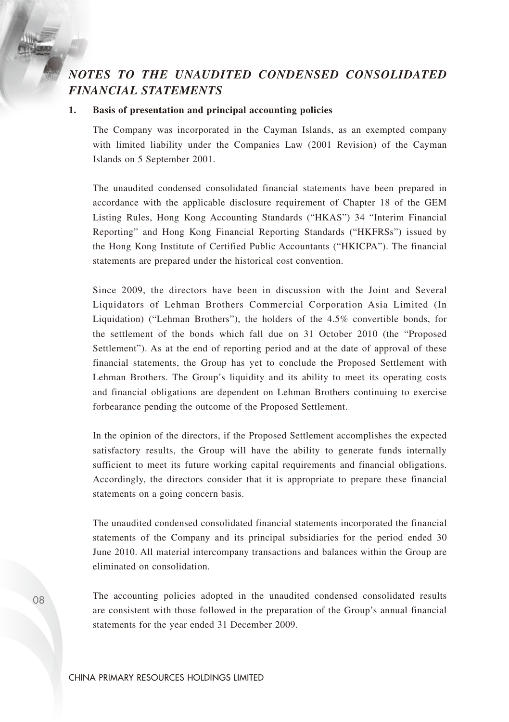# *NOTES TO THE UNAUDITED CONDENSED CONSOLIDATED FINANCIAL STATEMENTS*

#### **1. Basis of presentation and principal accounting policies**

The Company was incorporated in the Cayman Islands, as an exempted company with limited liability under the Companies Law (2001 Revision) of the Cayman Islands on 5 September 2001.

The unaudited condensed consolidated financial statements have been prepared in accordance with the applicable disclosure requirement of Chapter 18 of the GEM Listing Rules, Hong Kong Accounting Standards ("HKAS") 34 "Interim Financial Reporting" and Hong Kong Financial Reporting Standards ("HKFRSs") issued by the Hong Kong Institute of Certified Public Accountants ("HKICPA"). The financial statements are prepared under the historical cost convention.

Since 2009, the directors have been in discussion with the Joint and Several Liquidators of Lehman Brothers Commercial Corporation Asia Limited (In Liquidation) ("Lehman Brothers"), the holders of the 4.5% convertible bonds, for the settlement of the bonds which fall due on 31 October 2010 (the "Proposed Settlement"). As at the end of reporting period and at the date of approval of these financial statements, the Group has yet to conclude the Proposed Settlement with Lehman Brothers. The Group's liquidity and its ability to meet its operating costs and financial obligations are dependent on Lehman Brothers continuing to exercise forbearance pending the outcome of the Proposed Settlement.

In the opinion of the directors, if the Proposed Settlement accomplishes the expected satisfactory results, the Group will have the ability to generate funds internally sufficient to meet its future working capital requirements and financial obligations. Accordingly, the directors consider that it is appropriate to prepare these financial statements on a going concern basis.

The unaudited condensed consolidated financial statements incorporated the financial statements of the Company and its principal subsidiaries for the period ended 30 June 2010. All material intercompany transactions and balances within the Group are eliminated on consolidation.

The accounting policies adopted in the unaudited condensed consolidated results are consistent with those followed in the preparation of the Group's annual financial statements for the year ended 31 December 2009.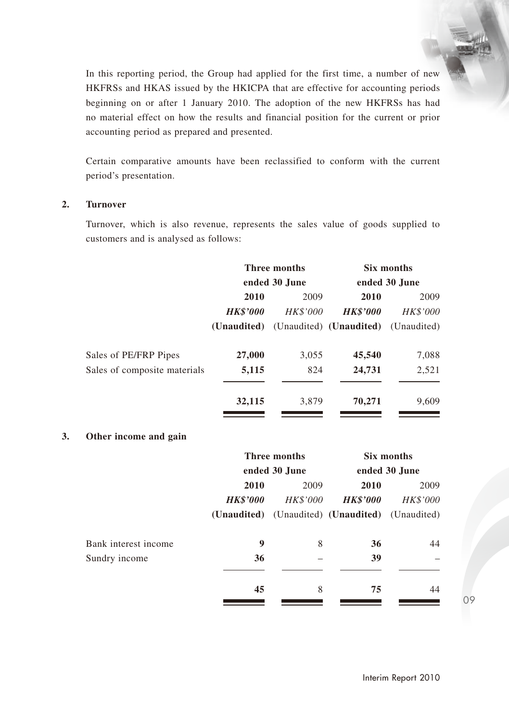In this reporting period, the Group had applied for the first time, a number of new HKFRSs and HKAS issued by the HKICPA that are effective for accounting periods beginning on or after 1 January 2010. The adoption of the new HKFRSs has had no material effect on how the results and financial position for the current or prior accounting period as prepared and presented.

Certain comparative amounts have been reclassified to conform with the current period's presentation.

#### **2. Turnover**

Turnover, which is also revenue, represents the sales value of goods supplied to customers and is analysed as follows:

|                              | Three months    |                 | Six months              |                 |
|------------------------------|-----------------|-----------------|-------------------------|-----------------|
|                              |                 | ended 30 June   |                         | ended 30 June   |
|                              | 2010            | 2009            | 2010                    | 2009            |
|                              | <b>HK\$'000</b> | <b>HK\$'000</b> | <b>HK\$'000</b>         | <b>HK\$'000</b> |
|                              | (Unaudited)     |                 | (Unaudited) (Unaudited) | (Unaudited)     |
| Sales of PE/FRP Pipes        | 27,000          | 3,055           | 45,540                  | 7,088           |
| Sales of composite materials | 5,115           | 824             | 24,731                  | 2,521           |
|                              | 32,115          | 3.879           | 70,271                  | 9,609           |

### **3. Other income and gain**

|                      | Three months    |               | Six months                                      |               |
|----------------------|-----------------|---------------|-------------------------------------------------|---------------|
|                      |                 | ended 30 June |                                                 | ended 30 June |
|                      | 2010            | 2009          | 2010                                            | 2009          |
|                      | <b>HK\$'000</b> | HK\$'000      | <b>HK\$'000</b>                                 | HK\$'000      |
|                      |                 |               | (Unaudited) (Unaudited) (Unaudited) (Unaudited) |               |
| Bank interest income | 9               | 8             | 36                                              | 44            |
| Sundry income        | 36              |               | 39                                              |               |
|                      | 45              | 8             | 75                                              | 44            |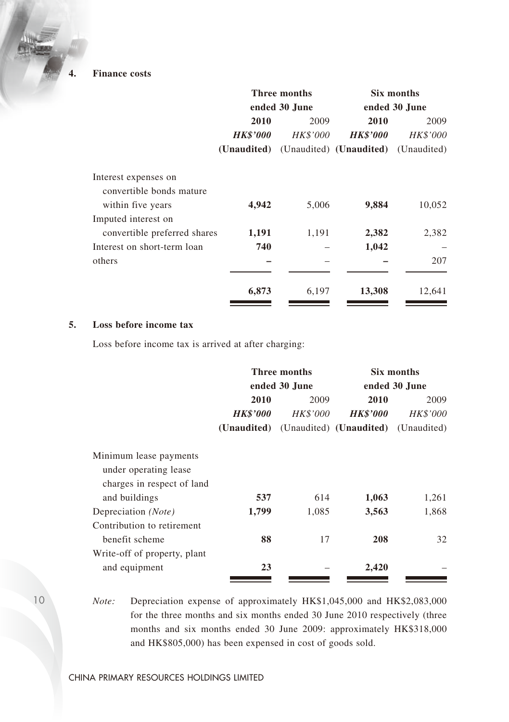**4. Finance costs**

|                                                  |                 | Three months    | Six months<br>ended 30 June                     |                         |  |
|--------------------------------------------------|-----------------|-----------------|-------------------------------------------------|-------------------------|--|
|                                                  |                 | ended 30 June   |                                                 |                         |  |
|                                                  | 2010            | 2009            | 2010                                            | 2009<br><i>HK\$'000</i> |  |
|                                                  | <b>HK\$'000</b> | <b>HK\$'000</b> | <b>HK\$'000</b>                                 |                         |  |
|                                                  |                 |                 | (Unaudited) (Unaudited) (Unaudited) (Unaudited) |                         |  |
| Interest expenses on<br>convertible bonds mature |                 |                 |                                                 |                         |  |
| within five years                                | 4,942           | 5,006           | 9,884                                           | 10,052                  |  |
| Imputed interest on                              |                 |                 |                                                 |                         |  |
| convertible preferred shares                     | 1,191           | 1,191           | 2,382                                           | 2,382                   |  |
| Interest on short-term loan                      | 740             |                 | 1,042                                           |                         |  |
| others                                           |                 |                 |                                                 | 207                     |  |
|                                                  | 6,873           | 6,197           | 13,308                                          | 12,641                  |  |

#### **5. Loss before income tax**

Loss before income tax is arrived at after charging:

|                                                                               |                 | Three months    | Six months<br>ended 30 June |                 |  |
|-------------------------------------------------------------------------------|-----------------|-----------------|-----------------------------|-----------------|--|
|                                                                               |                 | ended 30 June   |                             |                 |  |
|                                                                               | 2010            | 2009            | 2010                        | 2009            |  |
|                                                                               | <b>HK\$'000</b> | <b>HK\$'000</b> | <b>HK\$'000</b>             | <i>HK\$'000</i> |  |
|                                                                               | (Unaudited)     |                 | (Unaudited) (Unaudited)     | (Unaudited)     |  |
| Minimum lease payments<br>under operating lease<br>charges in respect of land |                 |                 |                             |                 |  |
| and buildings                                                                 | 537             | 614             | 1,063                       | 1,261           |  |
| Depreciation (Note)                                                           | 1,799           | 1,085           | 3,563                       | 1,868           |  |
| Contribution to retirement                                                    |                 |                 |                             |                 |  |
| benefit scheme                                                                | 88              | 17              | 208                         | 32              |  |
| Write-off of property, plant                                                  |                 |                 |                             |                 |  |
| and equipment                                                                 | 23              |                 | 2,420                       |                 |  |

*Note:* Depreciation expense of approximately HK\$1,045,000 and HK\$2,083,000 for the three months and six months ended 30 June 2010 respectively (three months and six months ended 30 June 2009: approximately HK\$318,000 and HK\$805,000) has been expensed in cost of goods sold.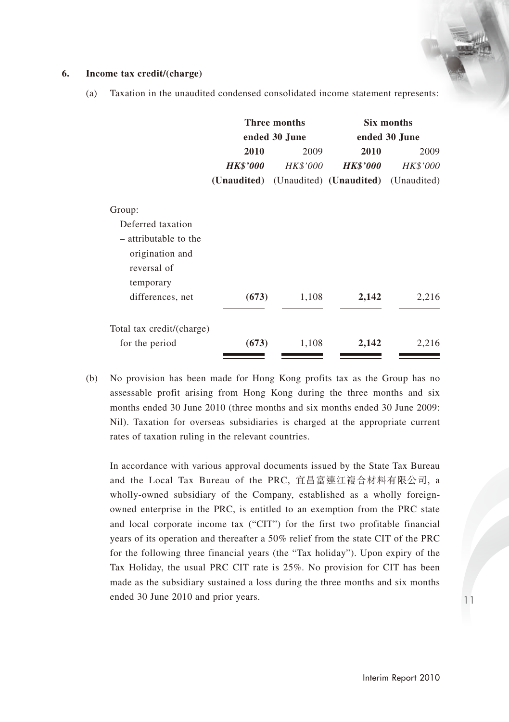#### **6. Income tax credit/(charge)**

- **Three months Six months ended 30 June ended 30 June 2010** 2009 **2010** 2009 *HK\$'000 HK\$'000 HK\$'000 HK\$'000* **(Unaudited)** (Unaudited) **(Unaudited)** (Unaudited) Group: Deferred taxation – attributable to the origination and reversal of temporary differences, net **(673)** 1,108 **2,142** 2,216 Total tax credit/(charge) for the period **(673)** 1,108 **2,142** 2,216
- (a) Taxation in the unaudited condensed consolidated income statement represents:

(b) No provision has been made for Hong Kong profits tax as the Group has no assessable profit arising from Hong Kong during the three months and six months ended 30 June 2010 (three months and six months ended 30 June 2009: Nil). Taxation for overseas subsidiaries is charged at the appropriate current rates of taxation ruling in the relevant countries.

In accordance with various approval documents issued by the State Tax Bureau and the Local Tax Bureau of the PRC, 宜昌富連江複合材料有限公司, a wholly-owned subsidiary of the Company, established as a wholly foreignowned enterprise in the PRC, is entitled to an exemption from the PRC state and local corporate income tax ("CIT") for the first two profitable financial years of its operation and thereafter a 50% relief from the state CIT of the PRC for the following three financial years (the "Tax holiday"). Upon expiry of the Tax Holiday, the usual PRC CIT rate is 25%. No provision for CIT has been made as the subsidiary sustained a loss during the three months and six months ended 30 June 2010 and prior years.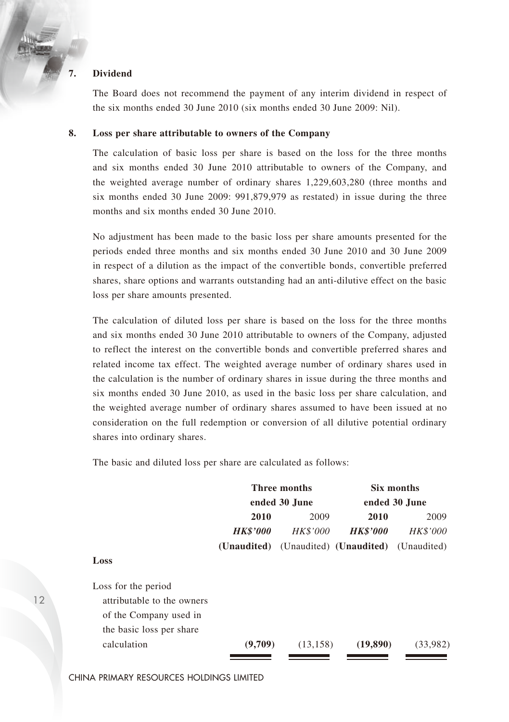#### **7. Dividend**

The Board does not recommend the payment of any interim dividend in respect of the six months ended 30 June 2010 (six months ended 30 June 2009: Nil).

#### **8. Loss per share attributable to owners of the Company**

The calculation of basic loss per share is based on the loss for the three months and six months ended 30 June 2010 attributable to owners of the Company, and the weighted average number of ordinary shares 1,229,603,280 (three months and six months ended 30 June 2009: 991,879,979 as restated) in issue during the three months and six months ended 30 June 2010.

No adjustment has been made to the basic loss per share amounts presented for the periods ended three months and six months ended 30 June 2010 and 30 June 2009 in respect of a dilution as the impact of the convertible bonds, convertible preferred shares, share options and warrants outstanding had an anti-dilutive effect on the basic loss per share amounts presented.

The calculation of diluted loss per share is based on the loss for the three months and six months ended 30 June 2010 attributable to owners of the Company, adjusted to reflect the interest on the convertible bonds and convertible preferred shares and related income tax effect. The weighted average number of ordinary shares used in the calculation is the number of ordinary shares in issue during the three months and six months ended 30 June 2010, as used in the basic loss per share calculation, and the weighted average number of ordinary shares assumed to have been issued at no consideration on the full redemption or conversion of all dilutive potential ordinary shares into ordinary shares.

The basic and diluted loss per share are calculated as follows:

|                            | <b>Three months</b> |                 | Six months                                      |               |  |
|----------------------------|---------------------|-----------------|-------------------------------------------------|---------------|--|
|                            |                     | ended 30 June   |                                                 | ended 30 June |  |
|                            | 2010                | 2009            | 2010                                            | 2009          |  |
|                            | <b>HK\$'000</b>     | <b>HK\$'000</b> | <b>HK\$'000</b>                                 | HK\$'000      |  |
|                            |                     |                 | (Unaudited) (Unaudited) (Unaudited) (Unaudited) |               |  |
| Loss                       |                     |                 |                                                 |               |  |
| Loss for the period        |                     |                 |                                                 |               |  |
| attributable to the owners |                     |                 |                                                 |               |  |
| of the Company used in     |                     |                 |                                                 |               |  |
| the basic loss per share   |                     |                 |                                                 |               |  |
| calculation                | (9,709)             | (13, 158)       | (19,890)                                        | (33.982)      |  |
|                            |                     |                 |                                                 |               |  |

CHINA PRIMARY RESOURCES HOLDINGS LIMITED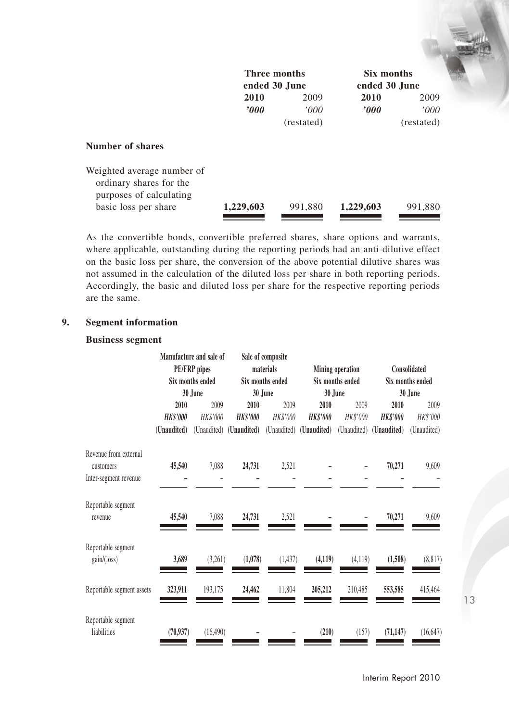|                                                                                  | Three months<br>ended 30 June |            | Six months<br>ended 30 June |            |  |
|----------------------------------------------------------------------------------|-------------------------------|------------|-----------------------------|------------|--|
|                                                                                  | 2010                          | 2009       | 2010                        | 2009       |  |
|                                                                                  | $\bm{v}$                      | '000'      | $\bm{v}$                    | '000'      |  |
|                                                                                  |                               | (restated) |                             | (restated) |  |
| <b>Number of shares</b>                                                          |                               |            |                             |            |  |
| Weighted average number of<br>ordinary shares for the<br>purposes of calculating |                               |            |                             |            |  |
| basic loss per share                                                             | 1,229,603                     | 991,880    | 1,229,603                   | 991,880    |  |

As the convertible bonds, convertible preferred shares, share options and warrants, where applicable, outstanding during the reporting periods had an anti-dilutive effect on the basic loss per share, the conversion of the above potential dilutive shares was not assumed in the calculation of the diluted loss per share in both reporting periods. Accordingly, the basic and diluted loss per share for the respective reporting periods are the same.

# **9. Segment information**

#### **Business segment**

|                                    |                 | Manufacture and sale of<br><b>PE/FRP</b> pipes |                         | Sale of composite             |                         |                                      |                 |                                  |  |
|------------------------------------|-----------------|------------------------------------------------|-------------------------|-------------------------------|-------------------------|--------------------------------------|-----------------|----------------------------------|--|
|                                    |                 | Six months ended                               |                         | materials<br>Six months ended |                         | Mining operation<br>Six months ended |                 | Consolidated<br>Six months ended |  |
|                                    |                 | 30 June                                        |                         | 30 June                       | 30 June                 |                                      | 30 June         |                                  |  |
|                                    | 2010            | 2009                                           | 2010                    | 2009                          | 2010                    | 2009                                 | 2010            | 2009                             |  |
|                                    | <b>HK\$'000</b> | HK\$'000                                       | <b>HK\$'000</b>         | HK\$'000                      | <b>HK\$'000</b>         | HK\$'000                             | <b>HK\$'000</b> | HK\$'000                         |  |
|                                    | (Unaudited)     |                                                | (Unaudited) (Unaudited) |                               | (Unaudited) (Unaudited) | (Unaudited)                          | (Unaudited)     | (Unaudited)                      |  |
| Revenue from external<br>customers | 45,540          | 7.088                                          | 24,731                  | 2,521                         |                         |                                      | 70,271          | 9,609                            |  |
| Inter-segment revenue              |                 |                                                |                         |                               |                         |                                      |                 |                                  |  |
| Reportable segment<br>revenue      | 45,540          | 7,088                                          | 24,731                  | 2,521                         |                         |                                      | 70,271          | 9,609                            |  |
| Reportable segment<br>gain/(loss)  | 3,689           | (3,261)                                        | (1,078)                 | (1, 437)                      | (4, 119)                | (4, 119)                             | (1,508)         | (8, 817)                         |  |
| Reportable segment assets          | 323,911         | 193,175                                        | 24,462                  | 11,804                        | 205,212                 | 210,485                              | 553,585         | 415,464                          |  |
| Reportable segment<br>liabilities  | (70, 937)       | (16, 490)                                      |                         |                               | (210)                   | (157)                                | (71, 147)       | (16, 647)                        |  |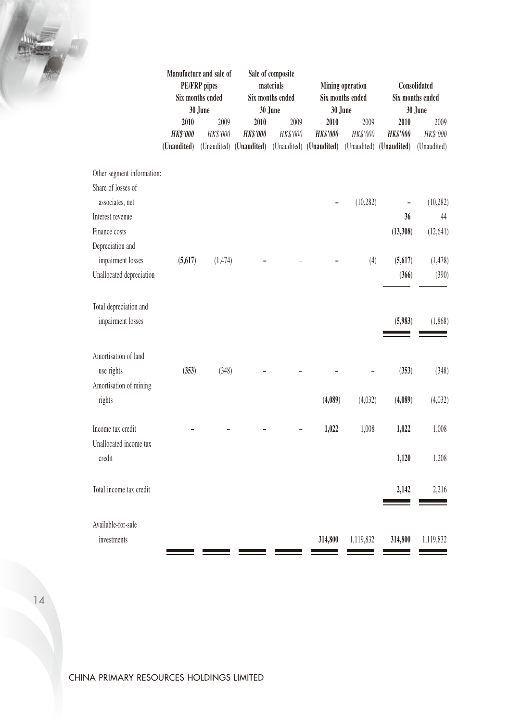|                            | Manufacture and sale of<br><b>PE/FRP</b> pipes<br>Six months ended<br>30 June |                  | Sale of composite<br>materials<br>Six months ended<br>30 June |                  | Mining operation<br>Six months ended<br>30 June                         |                  | Consolidated<br>Six months ended<br>30 June |                  |
|----------------------------|-------------------------------------------------------------------------------|------------------|---------------------------------------------------------------|------------------|-------------------------------------------------------------------------|------------------|---------------------------------------------|------------------|
|                            | 2010<br><b>HK\$'000</b>                                                       | 2009<br>HK\$'000 | 2010<br><b>HK\$'000</b>                                       | 2009<br>HK\$'000 | 2010<br><b>HK\$'000</b>                                                 | 2009<br>HK\$'000 | 2010<br><b>HK\$'000</b>                     | 2009<br>HK\$'000 |
|                            | (Unaudited)                                                                   |                  |                                                               |                  | (Unaudited) (Unaudited) (Unaudited) (Unaudited) (Unaudited) (Unaudited) |                  |                                             | (Unaudited)      |
| Other segment information: |                                                                               |                  |                                                               |                  |                                                                         |                  |                                             |                  |
| Share of losses of         |                                                                               |                  |                                                               |                  |                                                                         |                  |                                             |                  |
| associates, net            |                                                                               |                  |                                                               |                  |                                                                         | (10, 282)        | $\overline{a}$                              | (10, 282)        |
| Interest revenue           |                                                                               |                  |                                                               |                  |                                                                         |                  | 36                                          | 44               |
| Finance costs              |                                                                               |                  |                                                               |                  |                                                                         |                  | (13,308)                                    | (12, 641)        |
| Depreciation and           |                                                                               |                  |                                                               |                  |                                                                         |                  |                                             |                  |
| impairment losses          | (5,617)                                                                       | (1, 474)         |                                                               |                  |                                                                         | (4)              | (5, 617)                                    | (1, 478)         |
| Unallocated depreciation   |                                                                               |                  |                                                               |                  |                                                                         |                  | (366)                                       | (390)            |
| Total depreciation and     |                                                                               |                  |                                                               |                  |                                                                         |                  |                                             |                  |
| impairment losses          |                                                                               |                  |                                                               |                  |                                                                         |                  | (5,983)                                     | (1,868)          |
| Amortisation of land       |                                                                               |                  |                                                               |                  |                                                                         |                  |                                             |                  |
| use rights                 | (353)                                                                         | (348)            |                                                               |                  |                                                                         |                  | (353)                                       | (348)            |
| Amortisation of mining     |                                                                               |                  |                                                               |                  |                                                                         |                  |                                             |                  |
| rights                     |                                                                               |                  |                                                               |                  | (4,089)                                                                 | (4,032)          | (4,089)                                     | (4,032)          |
| Income tax credit          |                                                                               |                  |                                                               |                  | 1,022                                                                   | 1,008            | 1,022                                       | 1,008            |
| Unallocated income tax     |                                                                               |                  |                                                               |                  |                                                                         |                  |                                             |                  |
| credit                     |                                                                               |                  |                                                               |                  |                                                                         |                  | 1,120                                       | 1,208            |
| Total income tax credit    |                                                                               |                  |                                                               |                  |                                                                         |                  | 2,142                                       | 2,216            |
|                            |                                                                               |                  |                                                               |                  |                                                                         |                  |                                             |                  |
| Available-for-sale         |                                                                               |                  |                                                               |                  |                                                                         |                  |                                             |                  |
| investments                |                                                                               |                  |                                                               |                  | 314,800                                                                 | 1,119,832        | 314,800                                     | 1,119,832        |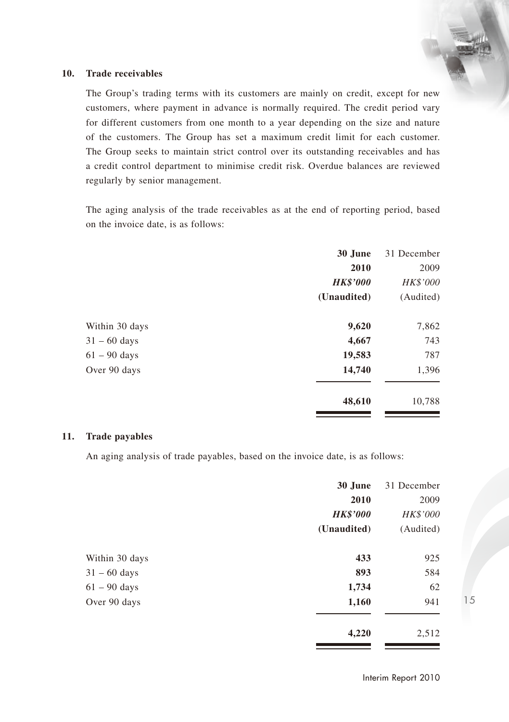#### **10. Trade receivables**

The Group's trading terms with its customers are mainly on credit, except for new customers, where payment in advance is normally required. The credit period vary for different customers from one month to a year depending on the size and nature of the customers. The Group has set a maximum credit limit for each customer. The Group seeks to maintain strict control over its outstanding receivables and has a credit control department to minimise credit risk. Overdue balances are reviewed regularly by senior management.

The aging analysis of the trade receivables as at the end of reporting period, based on the invoice date, is as follows:

|                | 30 June         | 31 December |
|----------------|-----------------|-------------|
|                | 2010            | 2009        |
|                | <b>HK\$'000</b> | HK\$'000    |
|                | (Unaudited)     | (Audited)   |
| Within 30 days | 9,620           | 7,862       |
| $31 - 60$ days | 4,667           | 743         |
| $61 - 90$ days | 19,583          | 787         |
| Over 90 days   | 14,740          | 1,396       |
|                | 48,610          | 10,788      |

#### **11. Trade payables**

An aging analysis of trade payables, based on the invoice date, is as follows:

|                | 30 June         | 31 December |
|----------------|-----------------|-------------|
|                | 2010            | 2009        |
|                | <b>HK\$'000</b> | HK\$'000    |
|                | (Unaudited)     | (Audited)   |
| Within 30 days | 433             | 925         |
| $31 - 60$ days | 893             | 584         |
| $61 - 90$ days | 1,734           | 62          |
| Over 90 days   | 1,160           | 941         |
|                | 4,220           | 2,512       |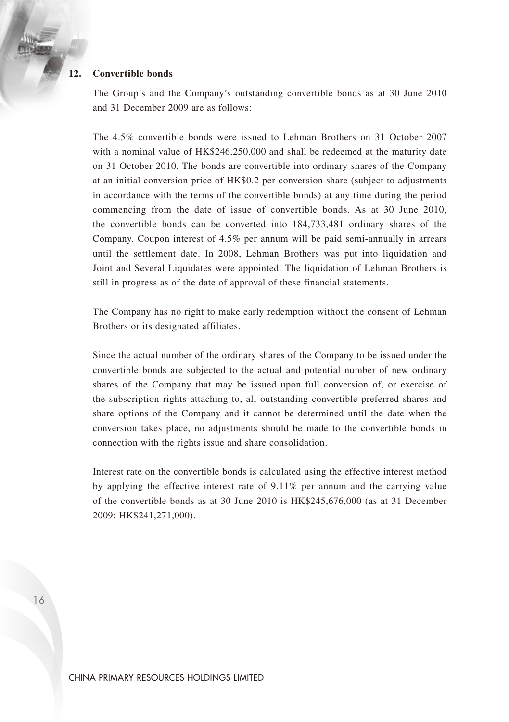## **12. Convertible bonds**

The Group's and the Company's outstanding convertible bonds as at 30 June 2010 and 31 December 2009 are as follows:

The 4.5% convertible bonds were issued to Lehman Brothers on 31 October 2007 with a nominal value of HK\$246,250,000 and shall be redeemed at the maturity date on 31 October 2010. The bonds are convertible into ordinary shares of the Company at an initial conversion price of HK\$0.2 per conversion share (subject to adjustments in accordance with the terms of the convertible bonds) at any time during the period commencing from the date of issue of convertible bonds. As at 30 June 2010, the convertible bonds can be converted into 184,733,481 ordinary shares of the Company. Coupon interest of 4.5% per annum will be paid semi-annually in arrears until the settlement date. In 2008, Lehman Brothers was put into liquidation and Joint and Several Liquidates were appointed. The liquidation of Lehman Brothers is still in progress as of the date of approval of these financial statements.

The Company has no right to make early redemption without the consent of Lehman Brothers or its designated affiliates.

Since the actual number of the ordinary shares of the Company to be issued under the convertible bonds are subjected to the actual and potential number of new ordinary shares of the Company that may be issued upon full conversion of, or exercise of the subscription rights attaching to, all outstanding convertible preferred shares and share options of the Company and it cannot be determined until the date when the conversion takes place, no adjustments should be made to the convertible bonds in connection with the rights issue and share consolidation.

Interest rate on the convertible bonds is calculated using the effective interest method by applying the effective interest rate of 9.11% per annum and the carrying value of the convertible bonds as at 30 June 2010 is HK\$245,676,000 (as at 31 December 2009: HK\$241,271,000).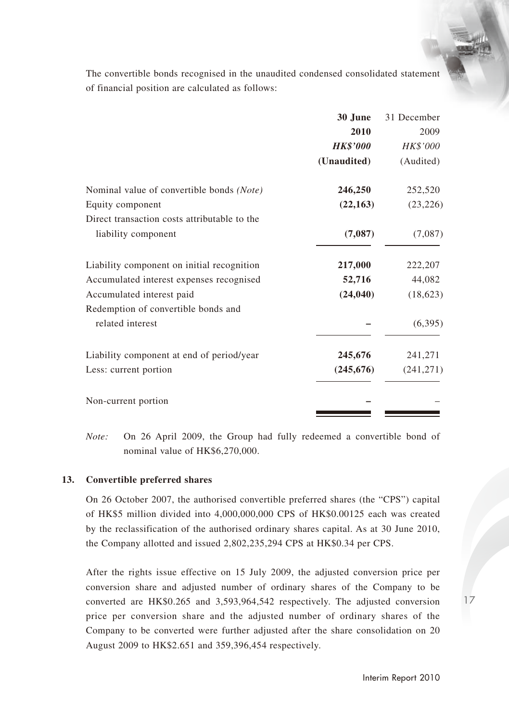The convertible bonds recognised in the unaudited condensed consolidated statement of financial position are calculated as follows:

|                                              | 30 June         | 31 December |
|----------------------------------------------|-----------------|-------------|
|                                              | 2010            | 2009        |
|                                              | <b>HK\$'000</b> | HK\$'000    |
|                                              | (Unaudited)     | (Audited)   |
| Nominal value of convertible bonds (Note)    | 246,250         | 252,520     |
| Equity component                             | (22, 163)       | (23, 226)   |
| Direct transaction costs attributable to the |                 |             |
| liability component                          | (7,087)         | (7,087)     |
| Liability component on initial recognition   | 217,000         | 222,207     |
| Accumulated interest expenses recognised     | 52,716          | 44,082      |
| Accumulated interest paid                    | (24, 040)       | (18, 623)   |
| Redemption of convertible bonds and          |                 |             |
| related interest                             |                 | (6,395)     |
| Liability component at end of period/year    | 245,676         | 241,271     |
| Less: current portion                        | (245, 676)      | (241, 271)  |
| Non-current portion                          |                 |             |

*Note:* On 26 April 2009, the Group had fully redeemed a convertible bond of nominal value of HK\$6,270,000.

### **13. Convertible preferred shares**

On 26 October 2007, the authorised convertible preferred shares (the "CPS") capital of HK\$5 million divided into 4,000,000,000 CPS of HK\$0.00125 each was created by the reclassification of the authorised ordinary shares capital. As at 30 June 2010, the Company allotted and issued 2,802,235,294 CPS at HK\$0.34 per CPS.

After the rights issue effective on 15 July 2009, the adjusted conversion price per conversion share and adjusted number of ordinary shares of the Company to be converted are HK\$0.265 and 3,593,964,542 respectively. The adjusted conversion price per conversion share and the adjusted number of ordinary shares of the Company to be converted were further adjusted after the share consolidation on 20 August 2009 to HK\$2.651 and 359,396,454 respectively.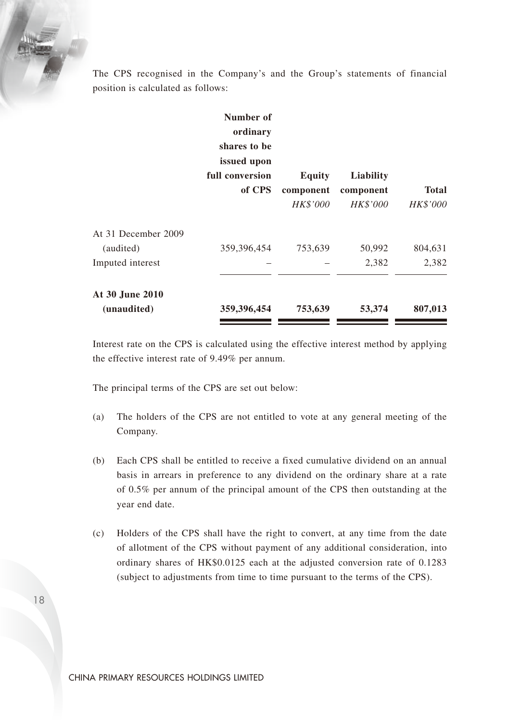The CPS recognised in the Company's and the Group's statements of financial position is calculated as follows:

|                     | Number of<br>ordinary<br>shares to be<br>issued upon<br>full conversion<br>of CPS | Equity<br>component<br><b>HK\$'000</b> | Liability<br>component<br><b>HK\$'000</b> | <b>Total</b><br>HK\$'000 |
|---------------------|-----------------------------------------------------------------------------------|----------------------------------------|-------------------------------------------|--------------------------|
| At 31 December 2009 |                                                                                   |                                        |                                           |                          |
| (audited)           | 359,396,454                                                                       | 753,639                                | 50,992                                    | 804,631                  |
| Imputed interest    |                                                                                   |                                        | 2,382                                     | 2,382                    |
| At 30 June 2010     |                                                                                   |                                        |                                           |                          |
| (unaudited)         | 359,396,454                                                                       | 753,639                                | 53,374                                    | 807,013                  |
|                     |                                                                                   |                                        |                                           |                          |

Interest rate on the CPS is calculated using the effective interest method by applying the effective interest rate of 9.49% per annum.

The principal terms of the CPS are set out below:

- (a) The holders of the CPS are not entitled to vote at any general meeting of the Company.
- (b) Each CPS shall be entitled to receive a fixed cumulative dividend on an annual basis in arrears in preference to any dividend on the ordinary share at a rate of 0.5% per annum of the principal amount of the CPS then outstanding at the year end date.
- (c) Holders of the CPS shall have the right to convert, at any time from the date of allotment of the CPS without payment of any additional consideration, into ordinary shares of HK\$0.0125 each at the adjusted conversion rate of 0.1283 (subject to adjustments from time to time pursuant to the terms of the CPS).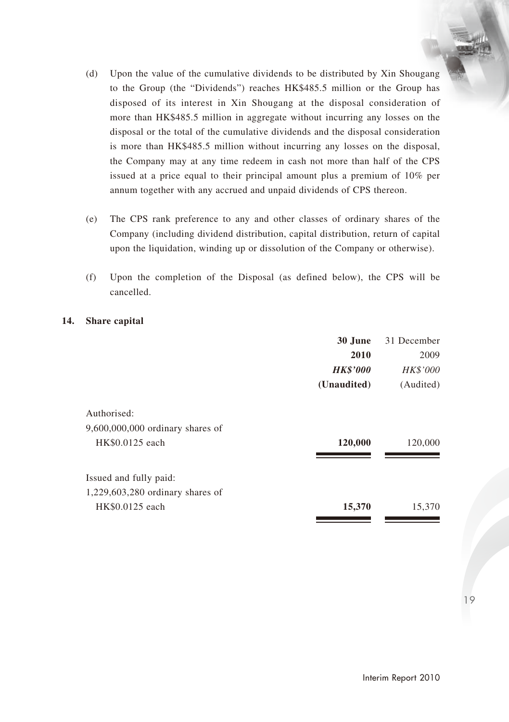- (d) Upon the value of the cumulative dividends to be distributed by Xin Shougang to the Group (the "Dividends") reaches HK\$485.5 million or the Group has disposed of its interest in Xin Shougang at the disposal consideration of more than HK\$485.5 million in aggregate without incurring any losses on the disposal or the total of the cumulative dividends and the disposal consideration is more than HK\$485.5 million without incurring any losses on the disposal, the Company may at any time redeem in cash not more than half of the CPS issued at a price equal to their principal amount plus a premium of 10% per annum together with any accrued and unpaid dividends of CPS thereon.
- (e) The CPS rank preference to any and other classes of ordinary shares of the Company (including dividend distribution, capital distribution, return of capital upon the liquidation, winding up or dissolution of the Company or otherwise).
- (f) Upon the completion of the Disposal (as defined below), the CPS will be cancelled.

### **14. Share capital**

|                                    | 30 June         | 31 December |
|------------------------------------|-----------------|-------------|
|                                    | 2010            | 2009        |
|                                    | <b>HK\$'000</b> | HK\$'000    |
|                                    | (Unaudited)     | (Audited)   |
| Authorised:                        |                 |             |
| 9,600,000,000 ordinary shares of   |                 |             |
| HK\$0.0125 each                    | 120,000         | 120,000     |
| Issued and fully paid:             |                 |             |
| $1,229,603,280$ ordinary shares of |                 |             |
| HK\$0.0125 each                    | 15,370          | 15,370      |
|                                    |                 |             |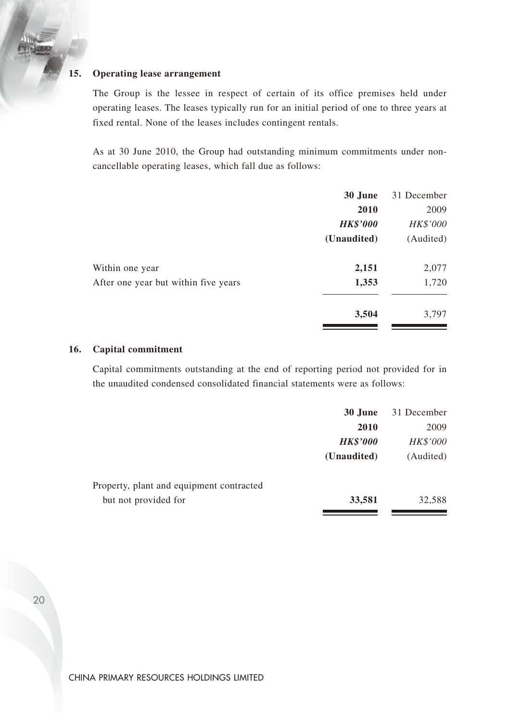# **15. Operating lease arrangement**

The Group is the lessee in respect of certain of its office premises held under operating leases. The leases typically run for an initial period of one to three years at fixed rental. None of the leases includes contingent rentals.

As at 30 June 2010, the Group had outstanding minimum commitments under noncancellable operating leases, which fall due as follows:

|                                      | 30 June         | 31 December |
|--------------------------------------|-----------------|-------------|
|                                      | 2010            | 2009        |
|                                      | <b>HK\$'000</b> | HK\$'000    |
|                                      | (Unaudited)     | (Audited)   |
| Within one year                      | 2,151           | 2,077       |
| After one year but within five years | 1,353           | 1,720       |
|                                      | 3,504           | 3,797       |

#### **16. Capital commitment**

Capital commitments outstanding at the end of reporting period not provided for in the unaudited condensed consolidated financial statements were as follows:

|                                          | 30 June         | 31 December |
|------------------------------------------|-----------------|-------------|
|                                          | 2010            | 2009        |
|                                          | <b>HK\$'000</b> | HK\$'000    |
|                                          | (Unaudited)     | (Audited)   |
| Property, plant and equipment contracted |                 |             |
| but not provided for                     | 33,581          | 32.588      |
|                                          |                 |             |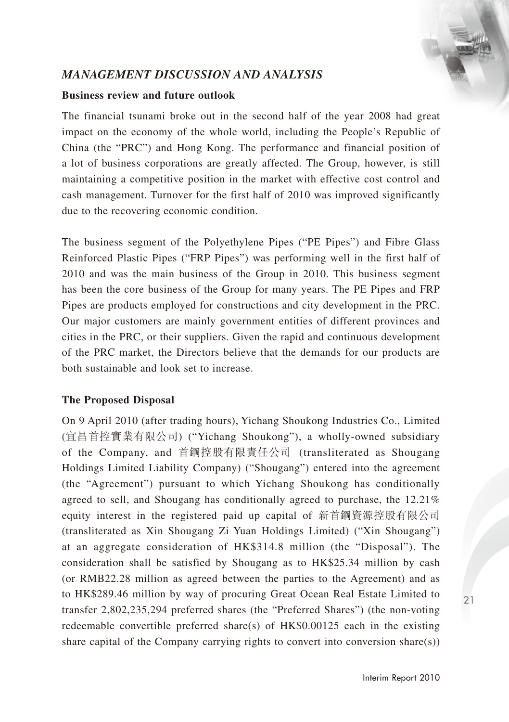# *MANAGEMENT DISCUSSION AND ANALYSIS*

## **Business review and future outlook**

The financial tsunami broke out in the second half of the year 2008 had great impact on the economy of the whole world, including the People's Republic of China (the "PRC") and Hong Kong. The performance and financial position of a lot of business corporations are greatly affected. The Group, however, is still maintaining a competitive position in the market with effective cost control and cash management. Turnover for the first half of 2010 was improved significantly due to the recovering economic condition.

The business segment of the Polyethylene Pipes ("PE Pipes") and Fibre Glass Reinforced Plastic Pipes ("FRP Pipes") was performing well in the first half of 2010 and was the main business of the Group in 2010. This business segment has been the core business of the Group for many years. The PE Pipes and FRP Pipes are products employed for constructions and city development in the PRC. Our major customers are mainly government entities of different provinces and cities in the PRC, or their suppliers. Given the rapid and continuous development of the PRC market, the Directors believe that the demands for our products are both sustainable and look set to increase.

## **The Proposed Disposal**

On 9 April 2010 (after trading hours), Yichang Shoukong Industries Co., Limited (宜昌首控實業有限公司) ("Yichang Shoukong"), a wholly-owned subsidiary of the Company, and 首鋼控股有限責任公司 (transliterated as Shougang Holdings Limited Liability Company) ("Shougang") entered into the agreement (the "Agreement") pursuant to which Yichang Shoukong has conditionally agreed to sell, and Shougang has conditionally agreed to purchase, the 12.21% equity interest in the registered paid up capital of 新首鋼資源控股有限公司 (transliterated as Xin Shougang Zi Yuan Holdings Limited) ("Xin Shougang") at an aggregate consideration of HK\$314.8 million (the "Disposal"). The consideration shall be satisfied by Shougang as to HK\$25.34 million by cash (or RMB22.28 million as agreed between the parties to the Agreement) and as to HK\$289.46 million by way of procuring Great Ocean Real Estate Limited to transfer 2,802,235,294 preferred shares (the "Preferred Shares") (the non-voting redeemable convertible preferred share(s) of HK\$0.00125 each in the existing share capital of the Company carrying rights to convert into conversion share(s))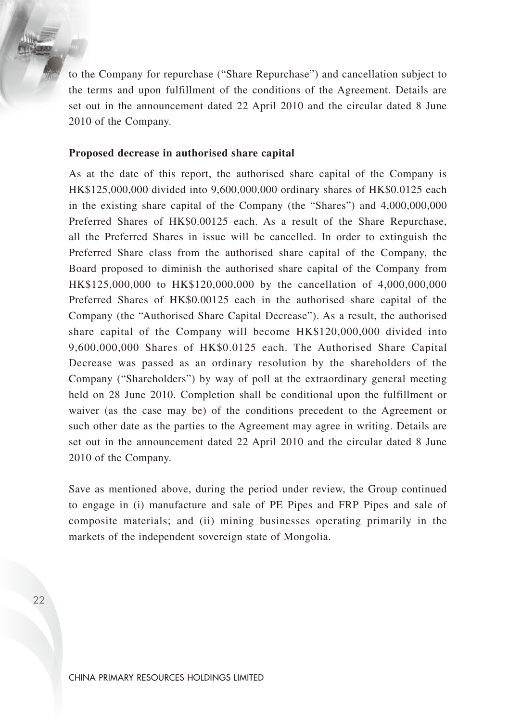to the Company for repurchase ("Share Repurchase") and cancellation subject to the terms and upon fulfillment of the conditions of the Agreement. Details are set out in the announcement dated 22 April 2010 and the circular dated 8 June 2010 of the Company.

#### **Proposed decrease in authorised share capital**

As at the date of this report, the authorised share capital of the Company is HK\$125,000,000 divided into 9,600,000,000 ordinary shares of HK\$0.0125 each in the existing share capital of the Company (the "Shares") and 4,000,000,000 Preferred Shares of HK\$0.00125 each. As a result of the Share Repurchase, all the Preferred Shares in issue will be cancelled. In order to extinguish the Preferred Share class from the authorised share capital of the Company, the Board proposed to diminish the authorised share capital of the Company from HK\$125,000,000 to HK\$120,000,000 by the cancellation of 4,000,000,000 Preferred Shares of HK\$0.00125 each in the authorised share capital of the Company (the "Authorised Share Capital Decrease"). As a result, the authorised share capital of the Company will become HK\$120,000,000 divided into 9,600,000,000 Shares of HK\$0.0125 each. The Authorised Share Capital Decrease was passed as an ordinary resolution by the shareholders of the Company ("Shareholders") by way of poll at the extraordinary general meeting held on 28 June 2010. Completion shall be conditional upon the fulfillment or waiver (as the case may be) of the conditions precedent to the Agreement or such other date as the parties to the Agreement may agree in writing. Details are set out in the announcement dated 22 April 2010 and the circular dated 8 June 2010 of the Company.

Save as mentioned above, during the period under review, the Group continued to engage in (i) manufacture and sale of PE Pipes and FRP Pipes and sale of composite materials; and (ii) mining businesses operating primarily in the markets of the independent sovereign state of Mongolia.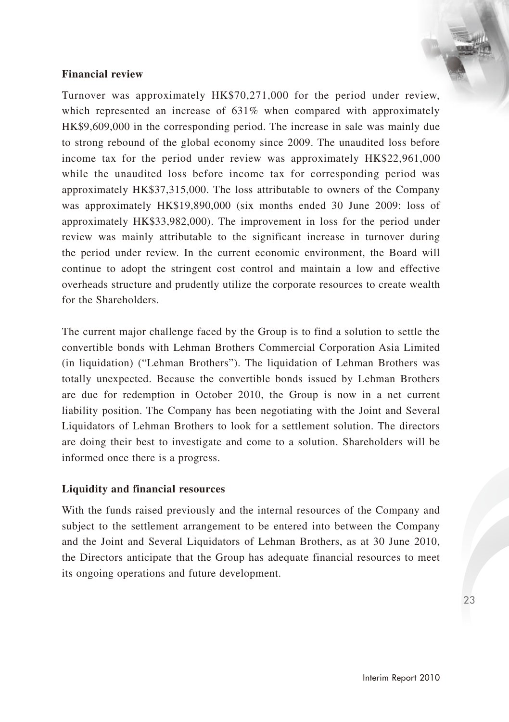## **Financial review**

Turnover was approximately HK\$70,271,000 for the period under review, which represented an increase of 631% when compared with approximately HK\$9,609,000 in the corresponding period. The increase in sale was mainly due to strong rebound of the global economy since 2009. The unaudited loss before income tax for the period under review was approximately HK\$22,961,000 while the unaudited loss before income tax for corresponding period was approximately HK\$37,315,000. The loss attributable to owners of the Company was approximately HK\$19,890,000 (six months ended 30 June 2009: loss of approximately HK\$33,982,000). The improvement in loss for the period under review was mainly attributable to the significant increase in turnover during the period under review. In the current economic environment, the Board will continue to adopt the stringent cost control and maintain a low and effective overheads structure and prudently utilize the corporate resources to create wealth for the Shareholders.

The current major challenge faced by the Group is to find a solution to settle the convertible bonds with Lehman Brothers Commercial Corporation Asia Limited (in liquidation) ("Lehman Brothers"). The liquidation of Lehman Brothers was totally unexpected. Because the convertible bonds issued by Lehman Brothers are due for redemption in October 2010, the Group is now in a net current liability position. The Company has been negotiating with the Joint and Several Liquidators of Lehman Brothers to look for a settlement solution. The directors are doing their best to investigate and come to a solution. Shareholders will be informed once there is a progress.

## **Liquidity and financial resources**

With the funds raised previously and the internal resources of the Company and subject to the settlement arrangement to be entered into between the Company and the Joint and Several Liquidators of Lehman Brothers, as at 30 June 2010, the Directors anticipate that the Group has adequate financial resources to meet its ongoing operations and future development.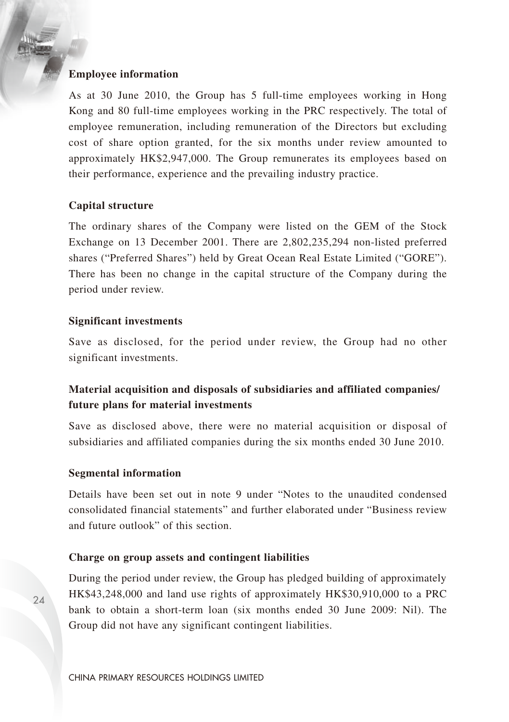#### **Employee information**

As at 30 June 2010, the Group has 5 full-time employees working in Hong Kong and 80 full-time employees working in the PRC respectively. The total of employee remuneration, including remuneration of the Directors but excluding cost of share option granted, for the six months under review amounted to approximately HK\$2,947,000. The Group remunerates its employees based on their performance, experience and the prevailing industry practice.

## **Capital structure**

The ordinary shares of the Company were listed on the GEM of the Stock Exchange on 13 December 2001. There are 2,802,235,294 non-listed preferred shares ("Preferred Shares") held by Great Ocean Real Estate Limited ("GORE"). There has been no change in the capital structure of the Company during the period under review.

### **Significant investments**

Save as disclosed, for the period under review, the Group had no other significant investments.

# **Material acquisition and disposals of subsidiaries and affiliated companies/ future plans for material investments**

Save as disclosed above, there were no material acquisition or disposal of subsidiaries and affiliated companies during the six months ended 30 June 2010.

#### **Segmental information**

Details have been set out in note 9 under "Notes to the unaudited condensed consolidated financial statements" and further elaborated under "Business review and future outlook" of this section.

### **Charge on group assets and contingent liabilities**

During the period under review, the Group has pledged building of approximately HK\$43,248,000 and land use rights of approximately HK\$30,910,000 to a PRC bank to obtain a short-term loan (six months ended 30 June 2009: Nil). The Group did not have any significant contingent liabilities.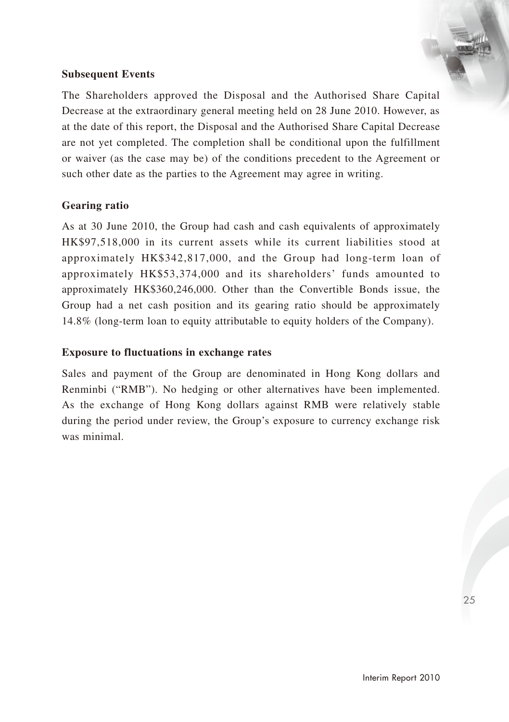## **Subsequent Events**

The Shareholders approved the Disposal and the Authorised Share Capital Decrease at the extraordinary general meeting held on 28 June 2010. However, as at the date of this report, the Disposal and the Authorised Share Capital Decrease are not yet completed. The completion shall be conditional upon the fulfillment or waiver (as the case may be) of the conditions precedent to the Agreement or such other date as the parties to the Agreement may agree in writing.

## **Gearing ratio**

As at 30 June 2010, the Group had cash and cash equivalents of approximately HK\$97,518,000 in its current assets while its current liabilities stood at approximately HK\$342,817,000, and the Group had long-term loan of approximately HK\$53,374,000 and its shareholders' funds amounted to approximately HK\$360,246,000. Other than the Convertible Bonds issue, the Group had a net cash position and its gearing ratio should be approximately 14.8% (long-term loan to equity attributable to equity holders of the Company).

### **Exposure to fluctuations in exchange rates**

Sales and payment of the Group are denominated in Hong Kong dollars and Renminbi ("RMB"). No hedging or other alternatives have been implemented. As the exchange of Hong Kong dollars against RMB were relatively stable during the period under review, the Group's exposure to currency exchange risk was minimal.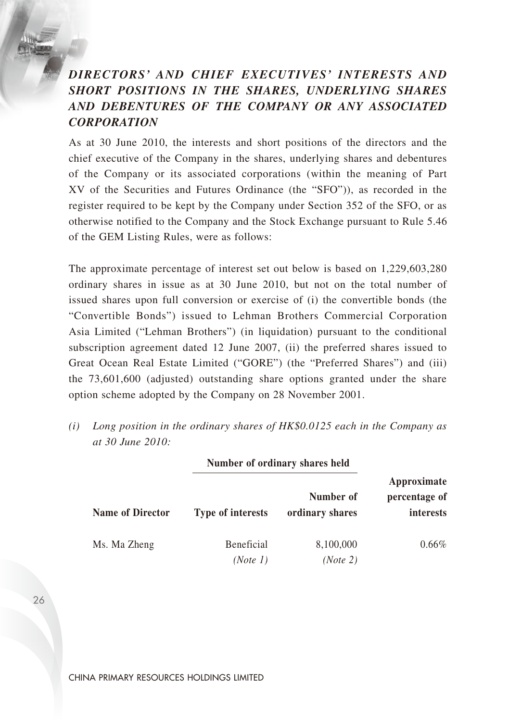# *DIRECTORS' AND CHIEF EXECUTIVES' INTERESTS AND SHORT POSITIONS IN THE SHARES, UNDERLYING SHARES AND DEBENTURES OF THE COMPANY OR ANY ASSOCIATED CORPORATION*

As at 30 June 2010, the interests and short positions of the directors and the chief executive of the Company in the shares, underlying shares and debentures of the Company or its associated corporations (within the meaning of Part XV of the Securities and Futures Ordinance (the "SFO")), as recorded in the register required to be kept by the Company under Section 352 of the SFO, or as otherwise notified to the Company and the Stock Exchange pursuant to Rule 5.46 of the GEM Listing Rules, were as follows:

The approximate percentage of interest set out below is based on 1,229,603,280 ordinary shares in issue as at 30 June 2010, but not on the total number of issued shares upon full conversion or exercise of (i) the convertible bonds (the "Convertible Bonds") issued to Lehman Brothers Commercial Corporation Asia Limited ("Lehman Brothers") (in liquidation) pursuant to the conditional subscription agreement dated 12 June 2007, (ii) the preferred shares issued to Great Ocean Real Estate Limited ("GORE") (the "Preferred Shares") and (iii) the 73,601,600 (adjusted) outstanding share options granted under the share option scheme adopted by the Company on 28 November 2001.

*(i) Long position in the ordinary shares of HK\$0.0125 each in the Company as at 30 June 2010:*

|                         | Number of ordinary shares held |                              |                                           |
|-------------------------|--------------------------------|------------------------------|-------------------------------------------|
| <b>Name of Director</b> | <b>Type of interests</b>       | Number of<br>ordinary shares | Approximate<br>percentage of<br>interests |
| Ms. Ma Zheng            | Beneficial<br>(Note 1)         | 8,100,000<br>(Note 2)        | 0.66%                                     |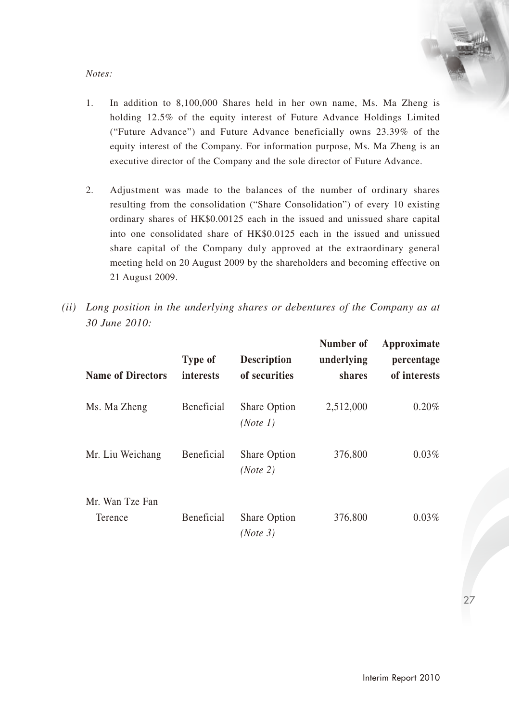#### *Notes:*

- 1. In addition to 8,100,000 Shares held in her own name, Ms. Ma Zheng is holding 12.5% of the equity interest of Future Advance Holdings Limited ("Future Advance") and Future Advance beneficially owns 23.39% of the equity interest of the Company. For information purpose, Ms. Ma Zheng is an executive director of the Company and the sole director of Future Advance.
- 2. Adjustment was made to the balances of the number of ordinary shares resulting from the consolidation ("Share Consolidation") of every 10 existing ordinary shares of HK\$0.00125 each in the issued and unissued share capital into one consolidated share of HK\$0.0125 each in the issued and unissued share capital of the Company duly approved at the extraordinary general meeting held on 20 August 2009 by the shareholders and becoming effective on 21 August 2009.
- *(ii) Long position in the underlying shares or debentures of the Company as at 30 June 2010:*

| <b>Name of Directors</b>   | Type of<br>interests | <b>Description</b><br>of securities | Number of<br>underlying<br>shares | Approximate<br>percentage<br>of interests |
|----------------------------|----------------------|-------------------------------------|-----------------------------------|-------------------------------------------|
| Ms. Ma Zheng               | Beneficial           | Share Option<br>(Note 1)            | 2,512,000                         | 0.20%                                     |
| Mr. Liu Weichang           | Beneficial           | Share Option<br>(Note 2)            | 376,800                           | 0.03%                                     |
| Mr. Wan Tze Fan<br>Terence | Beneficial           | Share Option<br>(Note 3)            | 376,800                           | 0.03%                                     |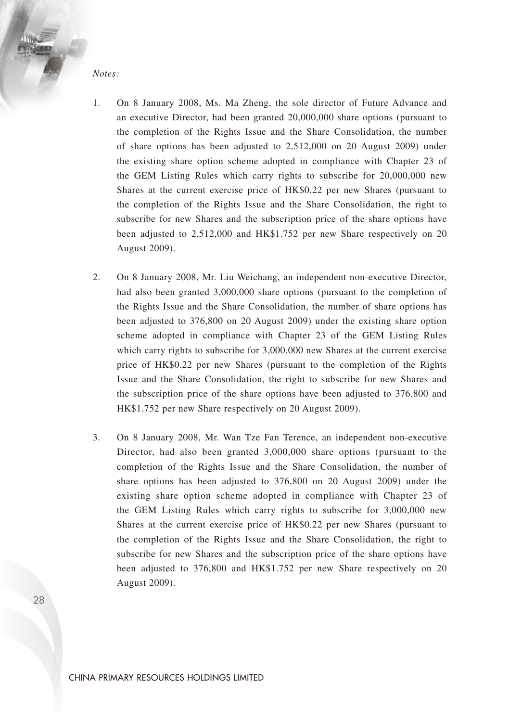*Notes:*

- 1. On 8 January 2008, Ms. Ma Zheng, the sole director of Future Advance and an executive Director, had been granted 20,000,000 share options (pursuant to the completion of the Rights Issue and the Share Consolidation, the number of share options has been adjusted to 2,512,000 on 20 August 2009) under the existing share option scheme adopted in compliance with Chapter 23 of the GEM Listing Rules which carry rights to subscribe for 20,000,000 new Shares at the current exercise price of HK\$0.22 per new Shares (pursuant to the completion of the Rights Issue and the Share Consolidation, the right to subscribe for new Shares and the subscription price of the share options have been adjusted to 2,512,000 and HK\$1.752 per new Share respectively on 20 August 2009).
- 2. On 8 January 2008, Mr. Liu Weichang, an independent non-executive Director, had also been granted 3,000,000 share options (pursuant to the completion of the Rights Issue and the Share Consolidation, the number of share options has been adjusted to 376,800 on 20 August 2009) under the existing share option scheme adopted in compliance with Chapter 23 of the GEM Listing Rules which carry rights to subscribe for 3,000,000 new Shares at the current exercise price of HK\$0.22 per new Shares (pursuant to the completion of the Rights Issue and the Share Consolidation, the right to subscribe for new Shares and the subscription price of the share options have been adjusted to 376,800 and HK\$1.752 per new Share respectively on 20 August 2009).
- 3. On 8 January 2008, Mr. Wan Tze Fan Terence, an independent non-executive Director, had also been granted 3,000,000 share options (pursuant to the completion of the Rights Issue and the Share Consolidation, the number of share options has been adjusted to 376,800 on 20 August 2009) under the existing share option scheme adopted in compliance with Chapter 23 of the GEM Listing Rules which carry rights to subscribe for 3,000,000 new Shares at the current exercise price of HK\$0.22 per new Shares (pursuant to the completion of the Rights Issue and the Share Consolidation, the right to subscribe for new Shares and the subscription price of the share options have been adjusted to 376,800 and HK\$1.752 per new Share respectively on 20 August 2009).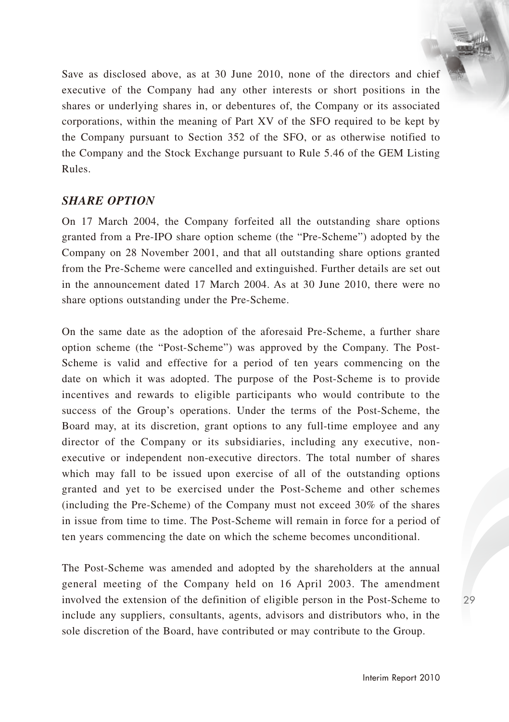Save as disclosed above, as at 30 June 2010, none of the directors and chief executive of the Company had any other interests or short positions in the shares or underlying shares in, or debentures of, the Company or its associated corporations, within the meaning of Part XV of the SFO required to be kept by the Company pursuant to Section 352 of the SFO, or as otherwise notified to the Company and the Stock Exchange pursuant to Rule 5.46 of the GEM Listing Rules.

# *SHARE OPTION*

On 17 March 2004, the Company forfeited all the outstanding share options granted from a Pre-IPO share option scheme (the "Pre-Scheme") adopted by the Company on 28 November 2001, and that all outstanding share options granted from the Pre-Scheme were cancelled and extinguished. Further details are set out in the announcement dated 17 March 2004. As at 30 June 2010, there were no share options outstanding under the Pre-Scheme.

On the same date as the adoption of the aforesaid Pre-Scheme, a further share option scheme (the "Post-Scheme") was approved by the Company. The Post-Scheme is valid and effective for a period of ten years commencing on the date on which it was adopted. The purpose of the Post-Scheme is to provide incentives and rewards to eligible participants who would contribute to the success of the Group's operations. Under the terms of the Post-Scheme, the Board may, at its discretion, grant options to any full-time employee and any director of the Company or its subsidiaries, including any executive, nonexecutive or independent non-executive directors. The total number of shares which may fall to be issued upon exercise of all of the outstanding options granted and yet to be exercised under the Post-Scheme and other schemes (including the Pre-Scheme) of the Company must not exceed 30% of the shares in issue from time to time. The Post-Scheme will remain in force for a period of ten years commencing the date on which the scheme becomes unconditional.

The Post-Scheme was amended and adopted by the shareholders at the annual general meeting of the Company held on 16 April 2003. The amendment involved the extension of the definition of eligible person in the Post-Scheme to include any suppliers, consultants, agents, advisors and distributors who, in the sole discretion of the Board, have contributed or may contribute to the Group.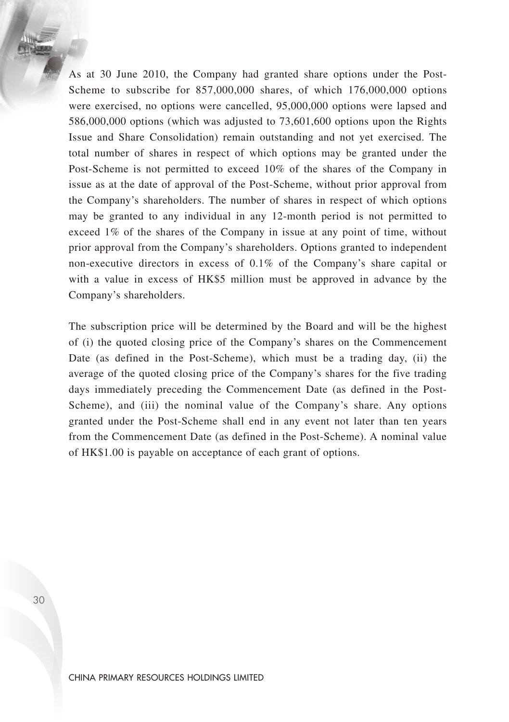As at 30 June 2010, the Company had granted share options under the Post-Scheme to subscribe for 857,000,000 shares, of which 176,000,000 options were exercised, no options were cancelled, 95,000,000 options were lapsed and 586,000,000 options (which was adjusted to 73,601,600 options upon the Rights Issue and Share Consolidation) remain outstanding and not yet exercised. The total number of shares in respect of which options may be granted under the Post-Scheme is not permitted to exceed 10% of the shares of the Company in issue as at the date of approval of the Post-Scheme, without prior approval from the Company's shareholders. The number of shares in respect of which options may be granted to any individual in any 12-month period is not permitted to exceed 1% of the shares of the Company in issue at any point of time, without prior approval from the Company's shareholders. Options granted to independent non-executive directors in excess of 0.1% of the Company's share capital or with a value in excess of HK\$5 million must be approved in advance by the Company's shareholders.

The subscription price will be determined by the Board and will be the highest of (i) the quoted closing price of the Company's shares on the Commencement Date (as defined in the Post-Scheme), which must be a trading day, (ii) the average of the quoted closing price of the Company's shares for the five trading days immediately preceding the Commencement Date (as defined in the Post-Scheme), and (iii) the nominal value of the Company's share. Any options granted under the Post-Scheme shall end in any event not later than ten years from the Commencement Date (as defined in the Post-Scheme). A nominal value of HK\$1.00 is payable on acceptance of each grant of options.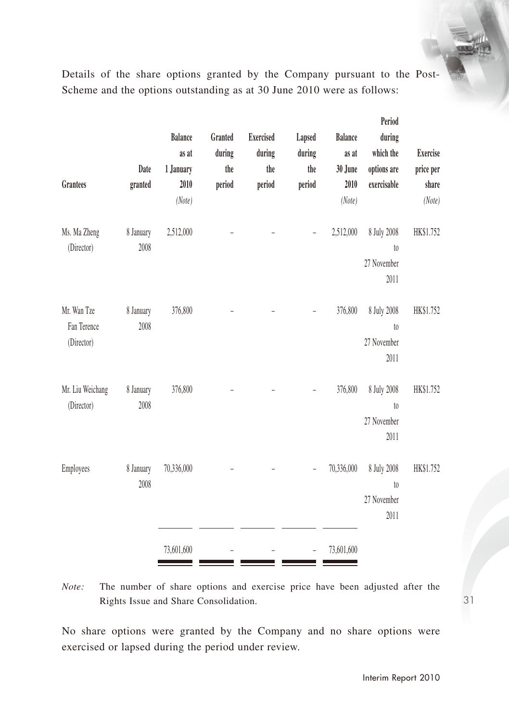Details of the share options granted by the Company pursuant to the Post-Scheme and the options outstanding as at 30 June 2010 were as follows:

| Grantees                                 | Date<br>granted   | <b>Balance</b><br>as at<br>1 January<br>2010<br>(Note) | Granted<br>during<br>the<br>period | <b>Exercised</b><br>during<br>the<br>period | Lapsed<br>during<br>the<br>period | <b>Balance</b><br>as at<br>30 June<br>2010<br>(Note) | Period<br>during<br>which the<br>options are<br>exercisable | Exercise<br>price per<br>share<br>(Note) |
|------------------------------------------|-------------------|--------------------------------------------------------|------------------------------------|---------------------------------------------|-----------------------------------|------------------------------------------------------|-------------------------------------------------------------|------------------------------------------|
| Ms. Ma Zheng<br>(Director)               | 8 January<br>2008 | 2,512,000                                              |                                    |                                             |                                   | 2,512,000                                            | 8 July 2008<br>$\mathfrak{g}_0$<br>27 November<br>2011      | HK\$1.752                                |
| Mr. Wan Tze<br>Fan Terence<br>(Director) | 8 January<br>2008 | 376,800                                                |                                    |                                             |                                   | 376,800                                              | 8 July 2008<br>$t_{0}$<br>27 November<br>2011               | HK\$1.752                                |
| Mr. Liu Weichang<br>(Director)           | 8 January<br>2008 | 376,800                                                |                                    |                                             |                                   | 376,800                                              | 8 July 2008<br>$\mathfrak{g}_0$<br>27 November<br>2011      | HK\$1.752                                |
| Employees                                | 8 January<br>2008 | 70,336,000                                             |                                    |                                             |                                   | 70,336,000                                           | 8 July 2008<br>$\mathfrak{g}_0$<br>27 November<br>2011      | HK\$1.752                                |
|                                          |                   | 73,601,600                                             |                                    |                                             |                                   | 73,601,600                                           |                                                             |                                          |

*Note:* The number of share options and exercise price have been adjusted after the Rights Issue and Share Consolidation.

No share options were granted by the Company and no share options were exercised or lapsed during the period under review.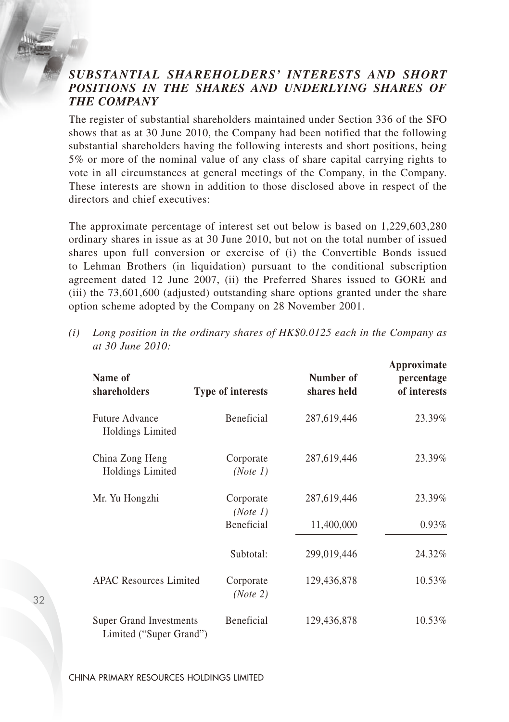# *SUBSTANTIAL SHAREHOLDERS' INTERESTS AND SHORT POSITIONS IN THE SHARES AND UNDERLYING SHARES OF THE COMPANY*

The register of substantial shareholders maintained under Section 336 of the SFO shows that as at 30 June 2010, the Company had been notified that the following substantial shareholders having the following interests and short positions, being 5% or more of the nominal value of any class of share capital carrying rights to vote in all circumstances at general meetings of the Company, in the Company. These interests are shown in addition to those disclosed above in respect of the directors and chief executives:

The approximate percentage of interest set out below is based on 1,229,603,280 ordinary shares in issue as at 30 June 2010, but not on the total number of issued shares upon full conversion or exercise of (i) the Convertible Bonds issued to Lehman Brothers (in liquidation) pursuant to the conditional subscription agreement dated 12 June 2007, (ii) the Preferred Shares issued to GORE and (iii) the 73,601,600 (adjusted) outstanding share options granted under the share option scheme adopted by the Company on 28 November 2001.

| Name of<br>shareholders                            | <b>Type of interests</b> | Number of<br>shares held | Approximate<br>percentage<br>of interests |
|----------------------------------------------------|--------------------------|--------------------------|-------------------------------------------|
| Future Advance<br>Holdings Limited                 | Beneficial               | 287,619,446              | 23.39%                                    |
| China Zong Heng<br>Holdings Limited                | Corporate<br>(Note 1)    | 287,619,446              | 23.39%                                    |
| Mr. Yu Hongzhi                                     | Corporate<br>(Note 1)    | 287,619,446              | 23.39%                                    |
|                                                    | <b>Beneficial</b>        | 11,400,000               | $0.93\%$                                  |
|                                                    | Subtotal:                | 299,019,446              | 24.32%                                    |
| <b>APAC Resources Limited</b>                      | Corporate<br>(Note 2)    | 129,436,878              | 10.53%                                    |
| Super Grand Investments<br>Limited ("Super Grand") | Beneficial               | 129,436,878              | 10.53%                                    |

*(i) Long position in the ordinary shares of HK\$0.0125 each in the Company as at 30 June 2010:*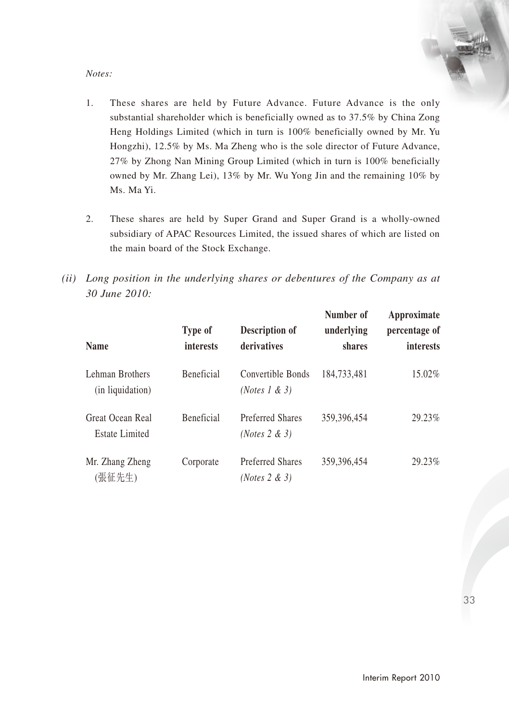#### *Notes:*

- 1. These shares are held by Future Advance. Future Advance is the only substantial shareholder which is beneficially owned as to 37.5% by China Zong Heng Holdings Limited (which in turn is 100% beneficially owned by Mr. Yu Hongzhi), 12.5% by Ms. Ma Zheng who is the sole director of Future Advance, 27% by Zhong Nan Mining Group Limited (which in turn is 100% beneficially owned by Mr. Zhang Lei), 13% by Mr. Wu Yong Jin and the remaining 10% by Ms. Ma Yi.
- 2. These shares are held by Super Grand and Super Grand is a wholly-owned subsidiary of APAC Resources Limited, the issued shares of which are listed on the main board of the Stock Exchange.
- *(ii) Long position in the underlying shares or debentures of the Company as at 30 June 2010:*

| <b>Name</b>                               | Type of<br>interests | Description of<br>derivatives                | Number of<br>underlying<br>shares | Approximate<br>percentage of<br>interests |
|-------------------------------------------|----------------------|----------------------------------------------|-----------------------------------|-------------------------------------------|
| Lehman Brothers<br>(in liquidation)       | <b>Beneficial</b>    | Convertible Bonds<br>(Notes 1 & 3)           | 184,733,481                       | 15.02%                                    |
| Great Ocean Real<br><b>Estate Limited</b> | <b>Beneficial</b>    | <b>Preferred Shares</b><br>(Notes $2 \& 3$ ) | 359, 396, 454                     | 29.23%                                    |
| Mr. Zhang Zheng<br>(張征先生)                 | Corporate            | <b>Preferred Shares</b><br>(Notes $2 \& 3$ ) | 359, 396, 454                     | 29.23%                                    |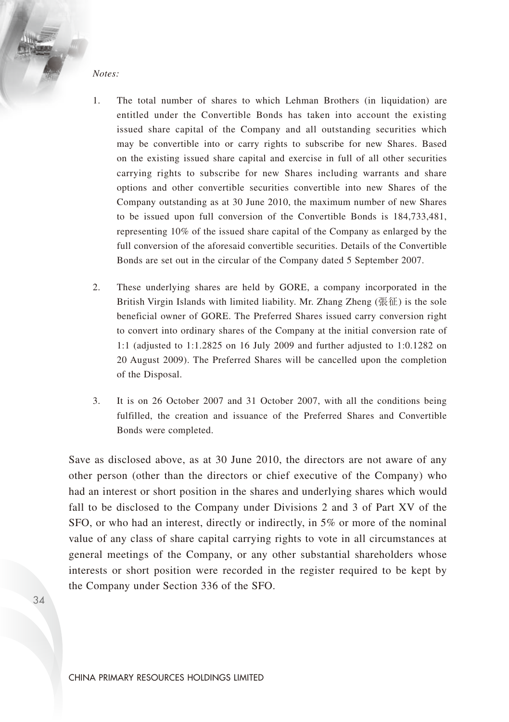*Notes:*

- 1. The total number of shares to which Lehman Brothers (in liquidation) are entitled under the Convertible Bonds has taken into account the existing issued share capital of the Company and all outstanding securities which may be convertible into or carry rights to subscribe for new Shares. Based on the existing issued share capital and exercise in full of all other securities carrying rights to subscribe for new Shares including warrants and share options and other convertible securities convertible into new Shares of the Company outstanding as at 30 June 2010, the maximum number of new Shares to be issued upon full conversion of the Convertible Bonds is 184,733,481, representing 10% of the issued share capital of the Company as enlarged by the full conversion of the aforesaid convertible securities. Details of the Convertible Bonds are set out in the circular of the Company dated 5 September 2007.
- 2. These underlying shares are held by GORE, a company incorporated in the British Virgin Islands with limited liability. Mr. Zhang Zheng (張征) is the sole beneficial owner of GORE. The Preferred Shares issued carry conversion right to convert into ordinary shares of the Company at the initial conversion rate of 1:1 (adjusted to 1:1.2825 on 16 July 2009 and further adjusted to 1:0.1282 on 20 August 2009). The Preferred Shares will be cancelled upon the completion of the Disposal.
- 3. It is on 26 October 2007 and 31 October 2007, with all the conditions being fulfilled, the creation and issuance of the Preferred Shares and Convertible Bonds were completed.

Save as disclosed above, as at 30 June 2010, the directors are not aware of any other person (other than the directors or chief executive of the Company) who had an interest or short position in the shares and underlying shares which would fall to be disclosed to the Company under Divisions 2 and 3 of Part XV of the SFO, or who had an interest, directly or indirectly, in 5% or more of the nominal value of any class of share capital carrying rights to vote in all circumstances at general meetings of the Company, or any other substantial shareholders whose interests or short position were recorded in the register required to be kept by the Company under Section 336 of the SFO.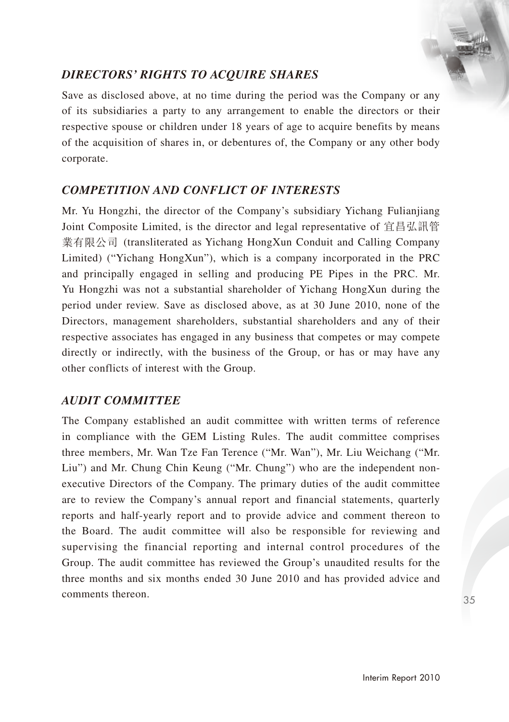# *DIRECTORS' RIGHTS TO ACQUIRE SHARES*

Save as disclosed above, at no time during the period was the Company or any of its subsidiaries a party to any arrangement to enable the directors or their respective spouse or children under 18 years of age to acquire benefits by means of the acquisition of shares in, or debentures of, the Company or any other body corporate.

# *COMPETITION AND CONFLICT OF INTERESTS*

Mr. Yu Hongzhi, the director of the Company's subsidiary Yichang Fulianjiang Joint Composite Limited, is the director and legal representative of 宜昌弘訊管 業有限公司 (transliterated as Yichang HongXun Conduit and Calling Company Limited) ("Yichang HongXun"), which is a company incorporated in the PRC and principally engaged in selling and producing PE Pipes in the PRC. Mr. Yu Hongzhi was not a substantial shareholder of Yichang HongXun during the period under review. Save as disclosed above, as at 30 June 2010, none of the Directors, management shareholders, substantial shareholders and any of their respective associates has engaged in any business that competes or may compete directly or indirectly, with the business of the Group, or has or may have any other conflicts of interest with the Group.

# *AUDIT COMMITTEE*

The Company established an audit committee with written terms of reference in compliance with the GEM Listing Rules. The audit committee comprises three members, Mr. Wan Tze Fan Terence ("Mr. Wan"), Mr. Liu Weichang ("Mr. Liu") and Mr. Chung Chin Keung ("Mr. Chung") who are the independent nonexecutive Directors of the Company. The primary duties of the audit committee are to review the Company's annual report and financial statements, quarterly reports and half-yearly report and to provide advice and comment thereon to the Board. The audit committee will also be responsible for reviewing and supervising the financial reporting and internal control procedures of the Group. The audit committee has reviewed the Group's unaudited results for the three months and six months ended 30 June 2010 and has provided advice and comments thereon.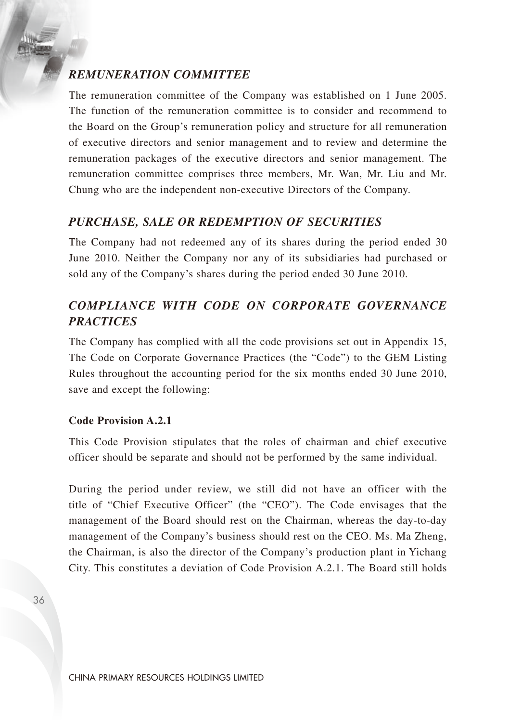# *REMUNERATION COMMITTEE*

The remuneration committee of the Company was established on 1 June 2005. The function of the remuneration committee is to consider and recommend to the Board on the Group's remuneration policy and structure for all remuneration of executive directors and senior management and to review and determine the remuneration packages of the executive directors and senior management. The remuneration committee comprises three members, Mr. Wan, Mr. Liu and Mr. Chung who are the independent non-executive Directors of the Company.

# *PURCHASE, SALE OR REDEMPTION OF SECURITIES*

The Company had not redeemed any of its shares during the period ended 30 June 2010. Neither the Company nor any of its subsidiaries had purchased or sold any of the Company's shares during the period ended 30 June 2010.

# *COMPLIANCE WITH CODE ON CORPORATE GOVERNANCE PRACTICES*

The Company has complied with all the code provisions set out in Appendix 15, The Code on Corporate Governance Practices (the "Code") to the GEM Listing Rules throughout the accounting period for the six months ended 30 June 2010, save and except the following:

### **Code Provision A.2.1**

This Code Provision stipulates that the roles of chairman and chief executive officer should be separate and should not be performed by the same individual.

During the period under review, we still did not have an officer with the title of "Chief Executive Officer" (the "CEO"). The Code envisages that the management of the Board should rest on the Chairman, whereas the day-to-day management of the Company's business should rest on the CEO. Ms. Ma Zheng, the Chairman, is also the director of the Company's production plant in Yichang City. This constitutes a deviation of Code Provision A.2.1. The Board still holds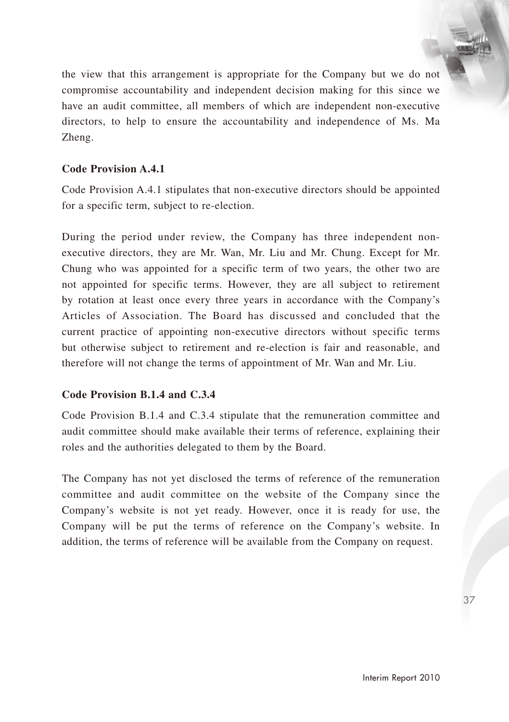the view that this arrangement is appropriate for the Company but we do not compromise accountability and independent decision making for this since we have an audit committee, all members of which are independent non-executive directors, to help to ensure the accountability and independence of Ms. Ma Zheng.

## **Code Provision A.4.1**

Code Provision A.4.1 stipulates that non-executive directors should be appointed for a specific term, subject to re-election.

During the period under review, the Company has three independent nonexecutive directors, they are Mr. Wan, Mr. Liu and Mr. Chung. Except for Mr. Chung who was appointed for a specific term of two years, the other two are not appointed for specific terms. However, they are all subject to retirement by rotation at least once every three years in accordance with the Company's Articles of Association. The Board has discussed and concluded that the current practice of appointing non-executive directors without specific terms but otherwise subject to retirement and re-election is fair and reasonable, and therefore will not change the terms of appointment of Mr. Wan and Mr. Liu.

## **Code Provision B.1.4 and C.3.4**

Code Provision B.1.4 and C.3.4 stipulate that the remuneration committee and audit committee should make available their terms of reference, explaining their roles and the authorities delegated to them by the Board.

The Company has not yet disclosed the terms of reference of the remuneration committee and audit committee on the website of the Company since the Company's website is not yet ready. However, once it is ready for use, the Company will be put the terms of reference on the Company's website. In addition, the terms of reference will be available from the Company on request.